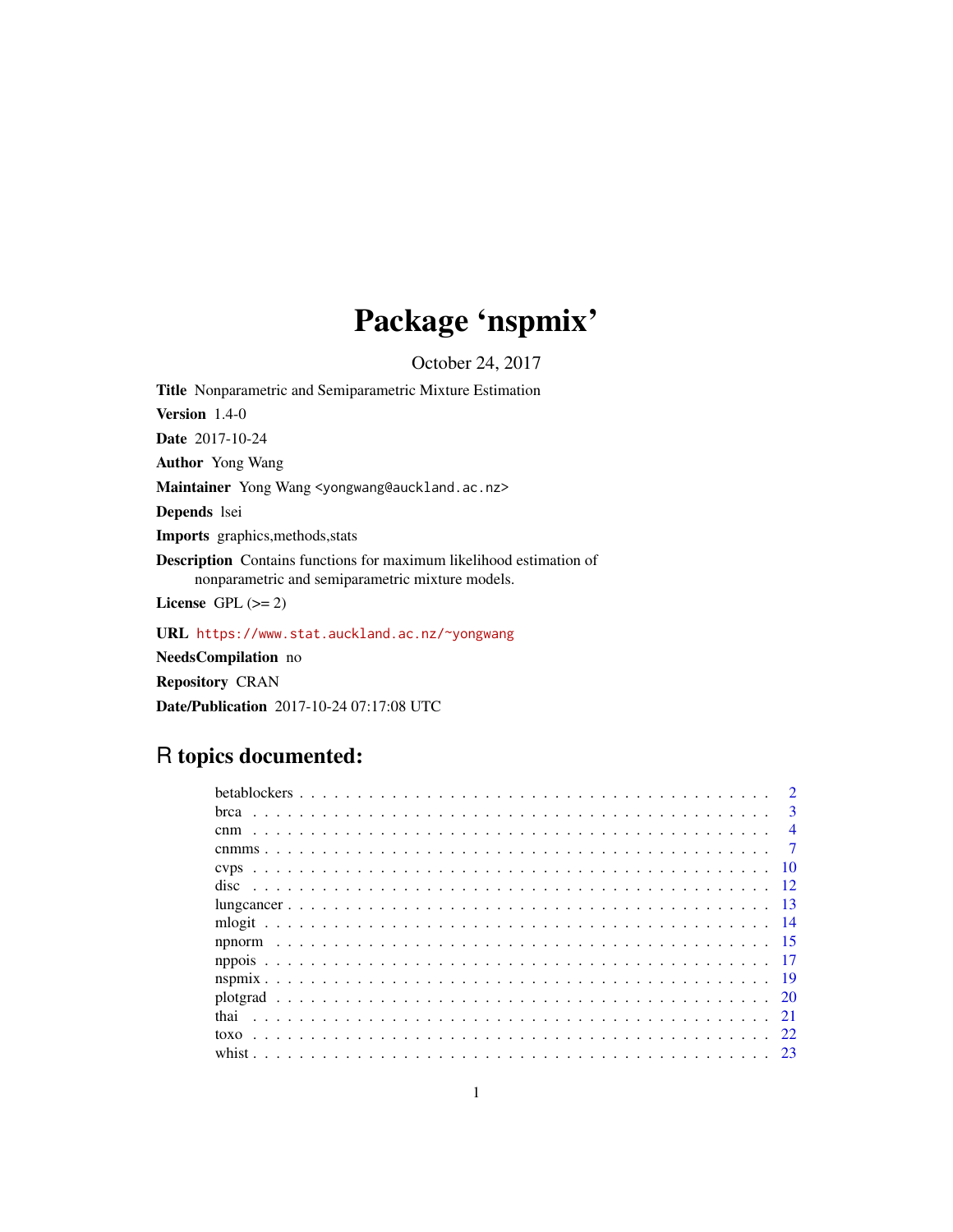# Package 'nspmix'

October 24, 2017

<span id="page-0-0"></span>Title Nonparametric and Semiparametric Mixture Estimation

Version 1.4-0

Date 2017-10-24

Author Yong Wang

Maintainer Yong Wang <yongwang@auckland.ac.nz>

Depends lsei

Imports graphics,methods,stats

Description Contains functions for maximum likelihood estimation of nonparametric and semiparametric mixture models.

License GPL  $(>= 2)$ 

URL <https://www.stat.auckland.ac.nz/~yongwang>

NeedsCompilation no

Repository CRAN

Date/Publication 2017-10-24 07:17:08 UTC

# R topics documented:

| $\mathbf{R}$ |
|--------------|
|              |
|              |
|              |
|              |
|              |
|              |
|              |
|              |
|              |
|              |
|              |
|              |
| -23          |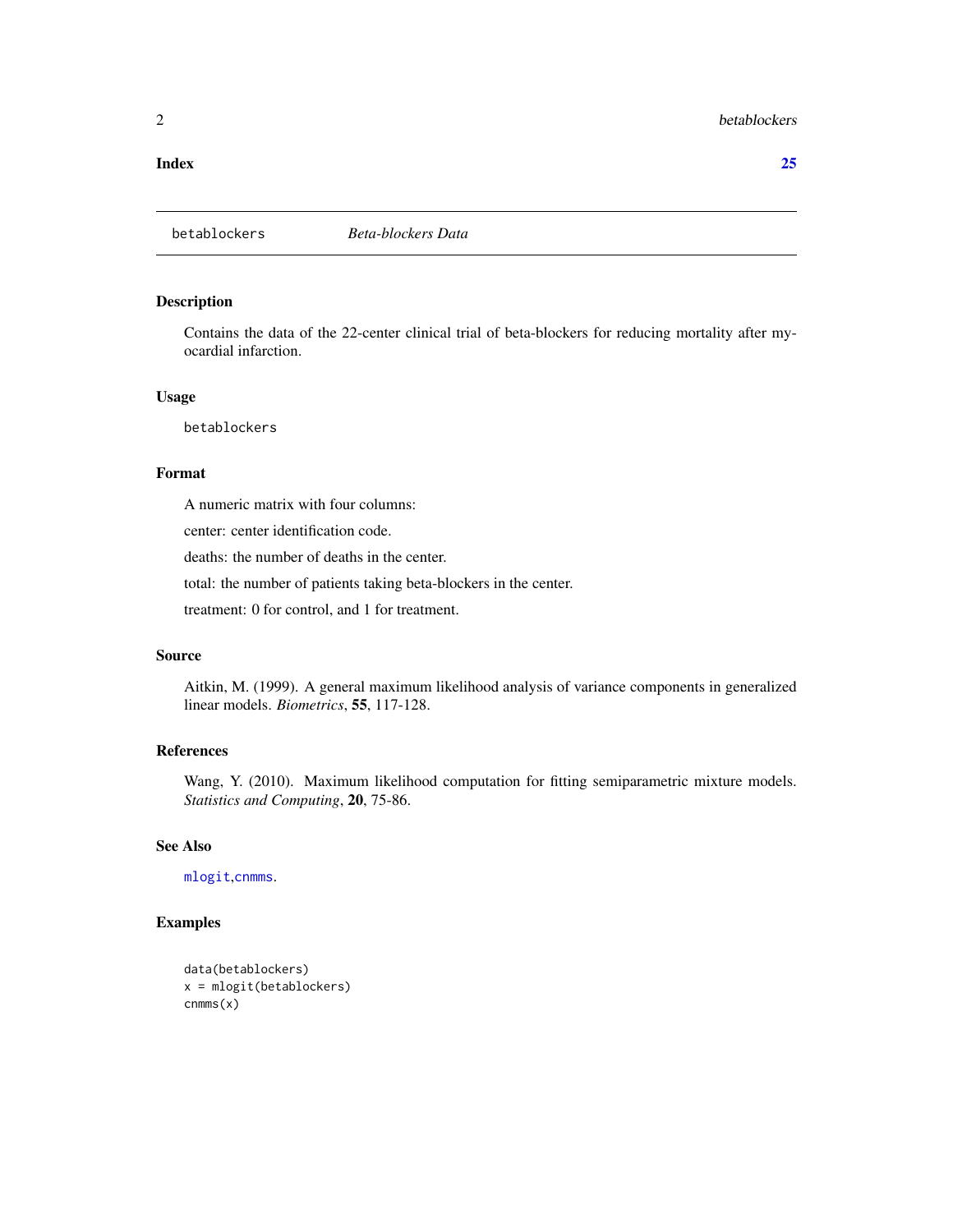#### <span id="page-1-0"></span>**Index** [25](#page-24-0)

# Description

Contains the data of the 22-center clinical trial of beta-blockers for reducing mortality after myocardial infarction.

#### Usage

betablockers

# Format

A numeric matrix with four columns:

center: center identification code.

deaths: the number of deaths in the center.

total: the number of patients taking beta-blockers in the center.

treatment: 0 for control, and 1 for treatment.

#### Source

Aitkin, M. (1999). A general maximum likelihood analysis of variance components in generalized linear models. *Biometrics*, 55, 117-128.

#### References

Wang, Y. (2010). Maximum likelihood computation for fitting semiparametric mixture models. *Statistics and Computing*, 20, 75-86.

# See Also

[mlogit](#page-13-1),[cnmms](#page-6-1).

```
data(betablockers)
x = mlogit(betablockers)
cnmms(x)
```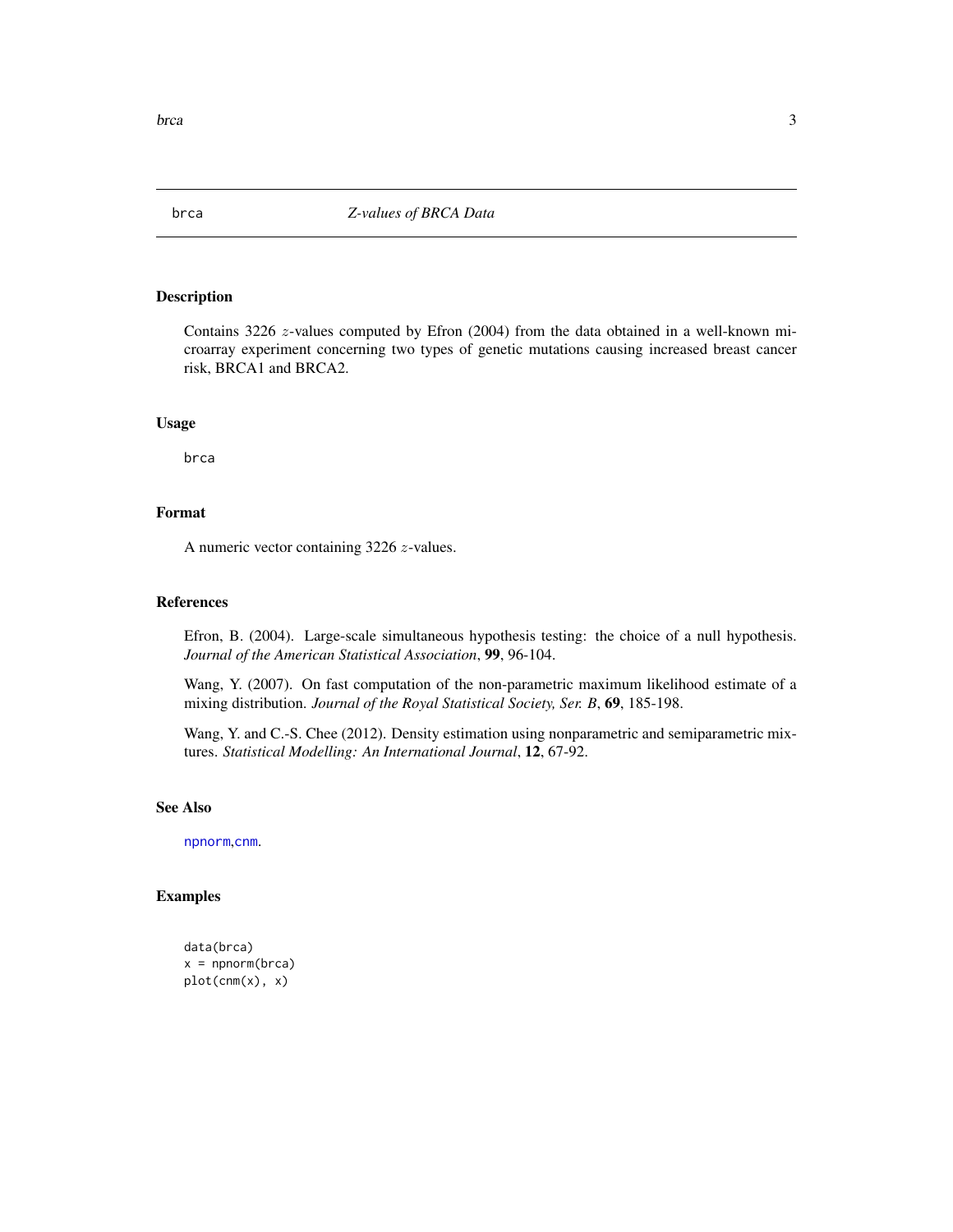<span id="page-2-0"></span>

Contains 3226 z-values computed by Efron (2004) from the data obtained in a well-known microarray experiment concerning two types of genetic mutations causing increased breast cancer risk, BRCA1 and BRCA2.

#### Usage

brca

# Format

A numeric vector containing 3226 z-values.

#### References

Efron, B. (2004). Large-scale simultaneous hypothesis testing: the choice of a null hypothesis. *Journal of the American Statistical Association*, 99, 96-104.

Wang, Y. (2007). On fast computation of the non-parametric maximum likelihood estimate of a mixing distribution. *Journal of the Royal Statistical Society, Ser. B*, 69, 185-198.

Wang, Y. and C.-S. Chee (2012). Density estimation using nonparametric and semiparametric mixtures. *Statistical Modelling: An International Journal*, 12, 67-92.

#### See Also

[npnorm](#page-14-1),[cnm](#page-3-1).

```
data(brca)
x = npnorm(brca)plot(cnm(x), x)
```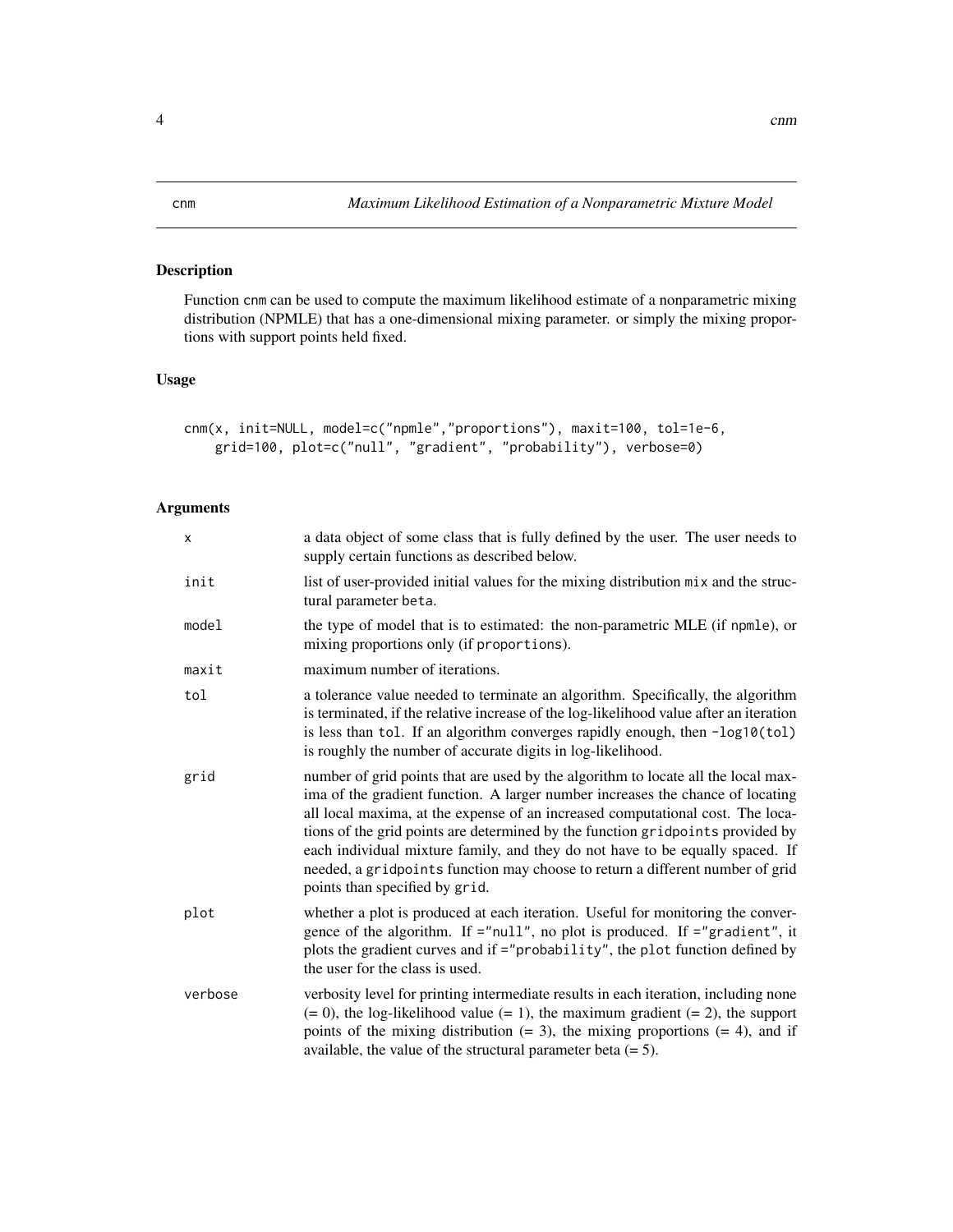<span id="page-3-1"></span><span id="page-3-0"></span>Function cnm can be used to compute the maximum likelihood estimate of a nonparametric mixing distribution (NPMLE) that has a one-dimensional mixing parameter. or simply the mixing proportions with support points held fixed.

# Usage

```
cnm(x, init=NULL, model=c("npmle","proportions"), maxit=100, tol=1e-6,
   grid=100, plot=c("null", "gradient", "probability"), verbose=0)
```

| x       | a data object of some class that is fully defined by the user. The user needs to<br>supply certain functions as described below.                                                                                                                                                                                                                                                                                                                                                                                                            |
|---------|---------------------------------------------------------------------------------------------------------------------------------------------------------------------------------------------------------------------------------------------------------------------------------------------------------------------------------------------------------------------------------------------------------------------------------------------------------------------------------------------------------------------------------------------|
| init    | list of user-provided initial values for the mixing distribution mix and the struc-<br>tural parameter beta.                                                                                                                                                                                                                                                                                                                                                                                                                                |
| model   | the type of model that is to estimated: the non-parametric MLE (if npmle), or<br>mixing proportions only (if proportions).                                                                                                                                                                                                                                                                                                                                                                                                                  |
| maxit   | maximum number of iterations.                                                                                                                                                                                                                                                                                                                                                                                                                                                                                                               |
| tol     | a tolerance value needed to terminate an algorithm. Specifically, the algorithm<br>is terminated, if the relative increase of the log-likelihood value after an iteration<br>is less than tol. If an algorithm converges rapidly enough, then -log10(tol)<br>is roughly the number of accurate digits in log-likelihood.                                                                                                                                                                                                                    |
| grid    | number of grid points that are used by the algorithm to locate all the local max-<br>ima of the gradient function. A larger number increases the chance of locating<br>all local maxima, at the expense of an increased computational cost. The loca-<br>tions of the grid points are determined by the function gridpoints provided by<br>each individual mixture family, and they do not have to be equally spaced. If<br>needed, a gridpoints function may choose to return a different number of grid<br>points than specified by grid. |
| plot    | whether a plot is produced at each iteration. Useful for monitoring the conver-<br>gence of the algorithm. If ="null", no plot is produced. If ="gradient", it<br>plots the gradient curves and if ="probability", the plot function defined by<br>the user for the class is used.                                                                                                                                                                                                                                                          |
| verbose | verbosity level for printing intermediate results in each iteration, including none<br>$(= 0)$ , the log-likelihood value $(= 1)$ , the maximum gradient $(= 2)$ , the support<br>points of the mixing distribution $(= 3)$ , the mixing proportions $(= 4)$ , and if<br>available, the value of the structural parameter beta $(= 5)$ .                                                                                                                                                                                                    |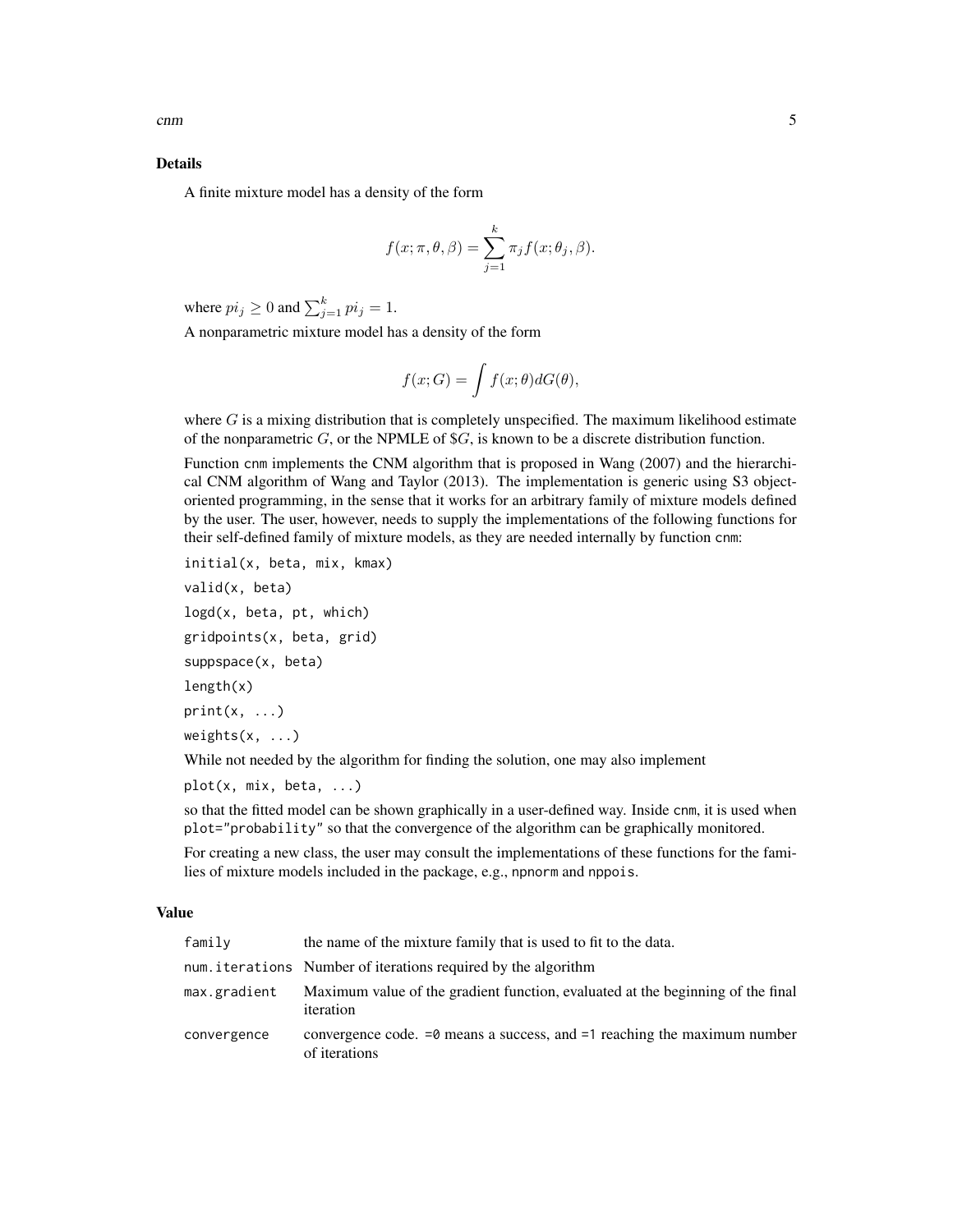#### Details

A finite mixture model has a density of the form

$$
f(x; \pi, \theta, \beta) = \sum_{j=1}^{k} \pi_j f(x; \theta_j, \beta).
$$

where  $pi_j \geq 0$  and  $\sum_{j=1}^k pi_j = 1$ .

A nonparametric mixture model has a density of the form

$$
f(x;G) = \int f(x; \theta) dG(\theta),
$$

where  $G$  is a mixing distribution that is completely unspecified. The maximum likelihood estimate of the nonparametric  $G$ , or the NPMLE of  $\mathcal{S}G$ , is known to be a discrete distribution function.

Function cnm implements the CNM algorithm that is proposed in Wang (2007) and the hierarchical CNM algorithm of Wang and Taylor (2013). The implementation is generic using S3 objectoriented programming, in the sense that it works for an arbitrary family of mixture models defined by the user. The user, however, needs to supply the implementations of the following functions for their self-defined family of mixture models, as they are needed internally by function cnm:

initial(x, beta, mix, kmax)

valid(x, beta)

logd(x, beta, pt, which) gridpoints(x, beta, grid) suppspace(x, beta) length(x)  $print(x, \ldots)$ weights(x, ...)

While not needed by the algorithm for finding the solution, one may also implement

```
plot(x, mix, beta, ...)
```
so that the fitted model can be shown graphically in a user-defined way. Inside cnm, it is used when plot="probability" so that the convergence of the algorithm can be graphically monitored.

For creating a new class, the user may consult the implementations of these functions for the families of mixture models included in the package, e.g., npnorm and nppois.

#### Value

| family       | the name of the mixture family that is used to fit to the data.                               |
|--------------|-----------------------------------------------------------------------------------------------|
|              | num iterations Number of iterations required by the algorithm                                 |
| max.gradient | Maximum value of the gradient function, evaluated at the beginning of the final<br>iteration  |
| convergence  | convergence code. $=0$ means a success, and $=1$ reaching the maximum number<br>of iterations |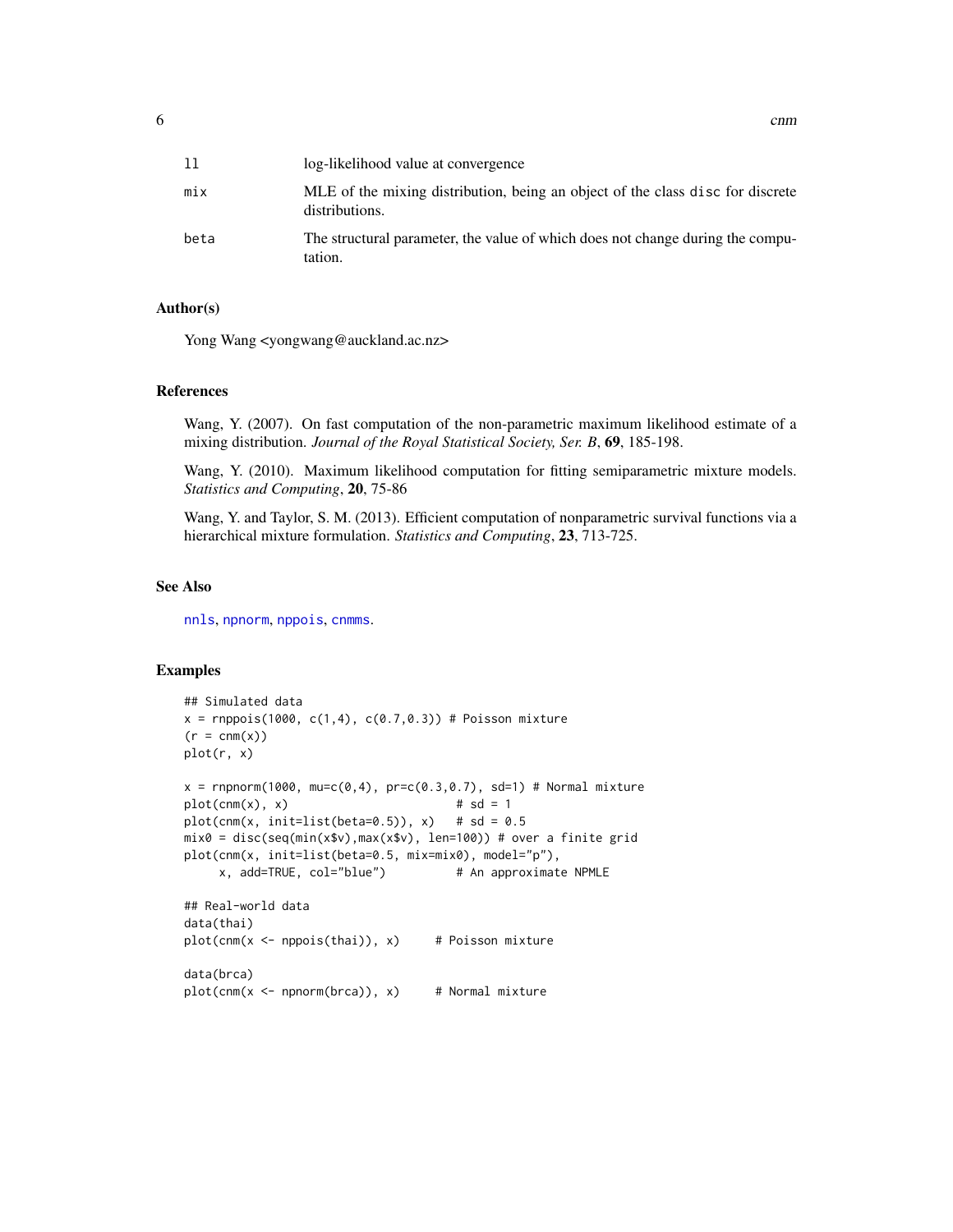<span id="page-5-0"></span>

| 11   | log-likelihood value at convergence                                                              |
|------|--------------------------------------------------------------------------------------------------|
| mix  | MLE of the mixing distribution, being an object of the class disc for discrete<br>distributions. |
| beta | The structural parameter, the value of which does not change during the compu-<br>tation.        |

#### Author(s)

Yong Wang <yongwang@auckland.ac.nz>

#### References

Wang, Y. (2007). On fast computation of the non-parametric maximum likelihood estimate of a mixing distribution. *Journal of the Royal Statistical Society, Ser. B*, 69, 185-198.

Wang, Y. (2010). Maximum likelihood computation for fitting semiparametric mixture models. *Statistics and Computing*, 20, 75-86

Wang, Y. and Taylor, S. M. (2013). Efficient computation of nonparametric survival functions via a hierarchical mixture formulation. *Statistics and Computing*, 23, 713-725.

#### See Also

[nnls](#page-0-0), [npnorm](#page-14-1), [nppois](#page-16-1), [cnmms](#page-6-1).

```
## Simulated data
x = rnppois(1000, c(1,4), c(0.7,0.3)) # Poisson mixture
(r = \text{cnm}(x))plot(r, x)
x = rnpnorm(1000, mu=c(0,4), pr=c(0.3,0.7), sd=1) # Normal mixture
plot(cnm(x), x) # sd = 1
plot(cnm(x, init=list(beta=0.5)), x) # sd = 0.5
mix0 = disc(seq(min(x$v),max(x$v), len=100)) # over a finite grid
plot(cnm(x, init=list(beta=0.5, mix=mix0), model="p"),
    x, add=TRUE, col="blue") # An approximate NPMLE
## Real-world data
data(thai)
plot(cnm(x < - n)), x) # Poisson mixture
data(brca)
plot(cnm(x < - nponorm(brca)), x) # Normal mixture
```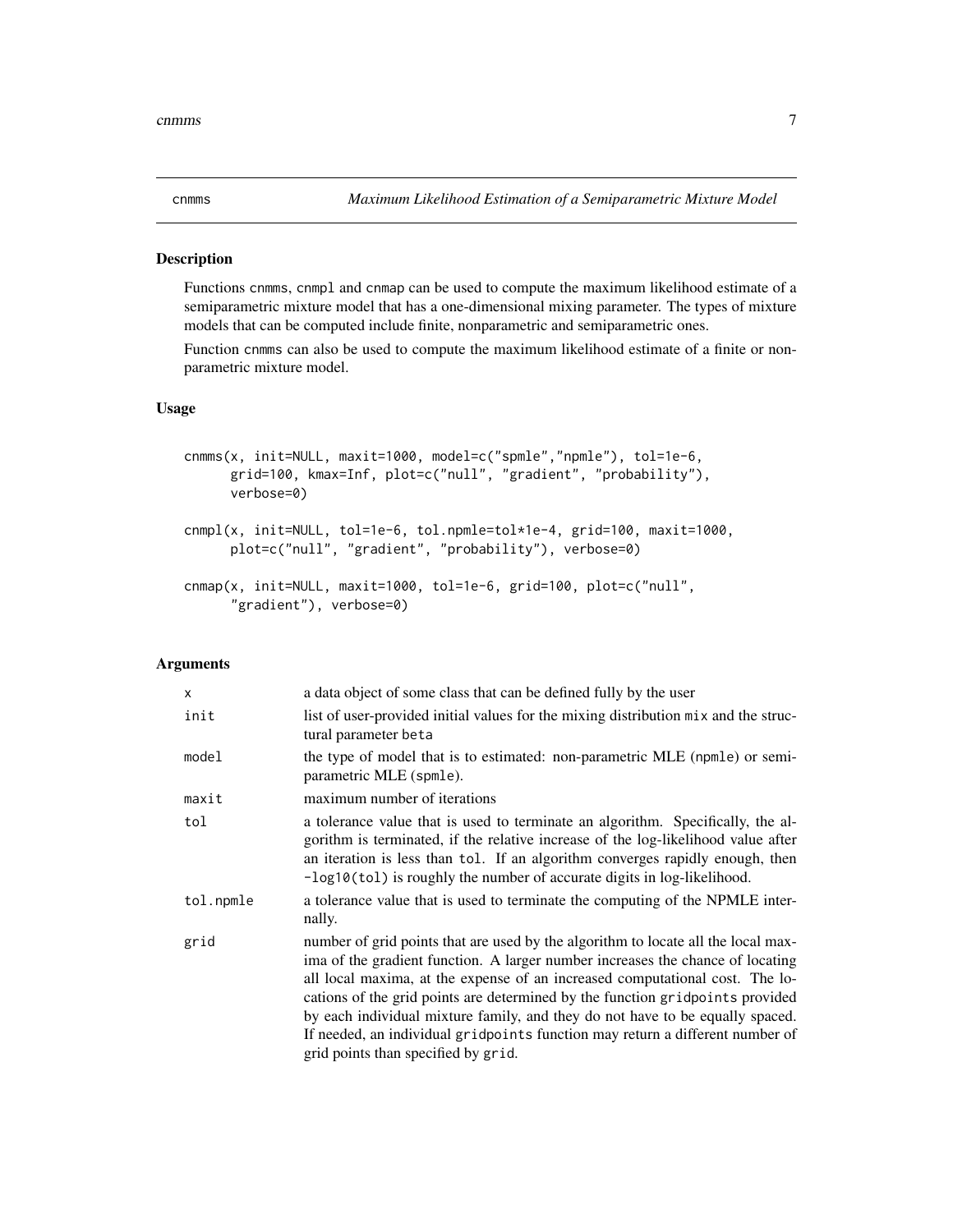<span id="page-6-2"></span><span id="page-6-1"></span><span id="page-6-0"></span>

Functions cnmms, cnmpl and cnmap can be used to compute the maximum likelihood estimate of a semiparametric mixture model that has a one-dimensional mixing parameter. The types of mixture models that can be computed include finite, nonparametric and semiparametric ones.

Function cnmms can also be used to compute the maximum likelihood estimate of a finite or nonparametric mixture model.

#### Usage

```
cnmms(x, init=NULL, maxit=1000, model=c("spmle","npmle"), tol=1e-6,
     grid=100, kmax=Inf, plot=c("null", "gradient", "probability"),
     verbose=0)
cnmpl(x, init=NULL, tol=1e-6, tol.npmle=tol*1e-4, grid=100, maxit=1000,
     plot=c("null", "gradient", "probability"), verbose=0)
cnmap(x, init=NULL, maxit=1000, tol=1e-6, grid=100, plot=c("null",
      "gradient"), verbose=0)
```

| X         | a data object of some class that can be defined fully by the user                                                                                                                                                                                                                                                                                                                                                                                                                                                                             |
|-----------|-----------------------------------------------------------------------------------------------------------------------------------------------------------------------------------------------------------------------------------------------------------------------------------------------------------------------------------------------------------------------------------------------------------------------------------------------------------------------------------------------------------------------------------------------|
| init      | list of user-provided initial values for the mixing distribution mix and the struc-<br>tural parameter beta                                                                                                                                                                                                                                                                                                                                                                                                                                   |
| model     | the type of model that is to estimated: non-parametric MLE (npmle) or semi-<br>parametric MLE (spmle).                                                                                                                                                                                                                                                                                                                                                                                                                                        |
| maxit     | maximum number of iterations                                                                                                                                                                                                                                                                                                                                                                                                                                                                                                                  |
| tol       | a tolerance value that is used to terminate an algorithm. Specifically, the al-<br>gorithm is terminated, if the relative increase of the log-likelihood value after<br>an iteration is less than tol. If an algorithm converges rapidly enough, then<br>$-\log 10(t_0)$ is roughly the number of accurate digits in log-likelihood.                                                                                                                                                                                                          |
| tol.npmle | a tolerance value that is used to terminate the computing of the NPMLE inter-<br>nally.                                                                                                                                                                                                                                                                                                                                                                                                                                                       |
| grid      | number of grid points that are used by the algorithm to locate all the local max-<br>ima of the gradient function. A larger number increases the chance of locating<br>all local maxima, at the expense of an increased computational cost. The lo-<br>cations of the grid points are determined by the function gridpoints provided<br>by each individual mixture family, and they do not have to be equally spaced.<br>If needed, an individual gridpoints function may return a different number of<br>grid points than specified by grid. |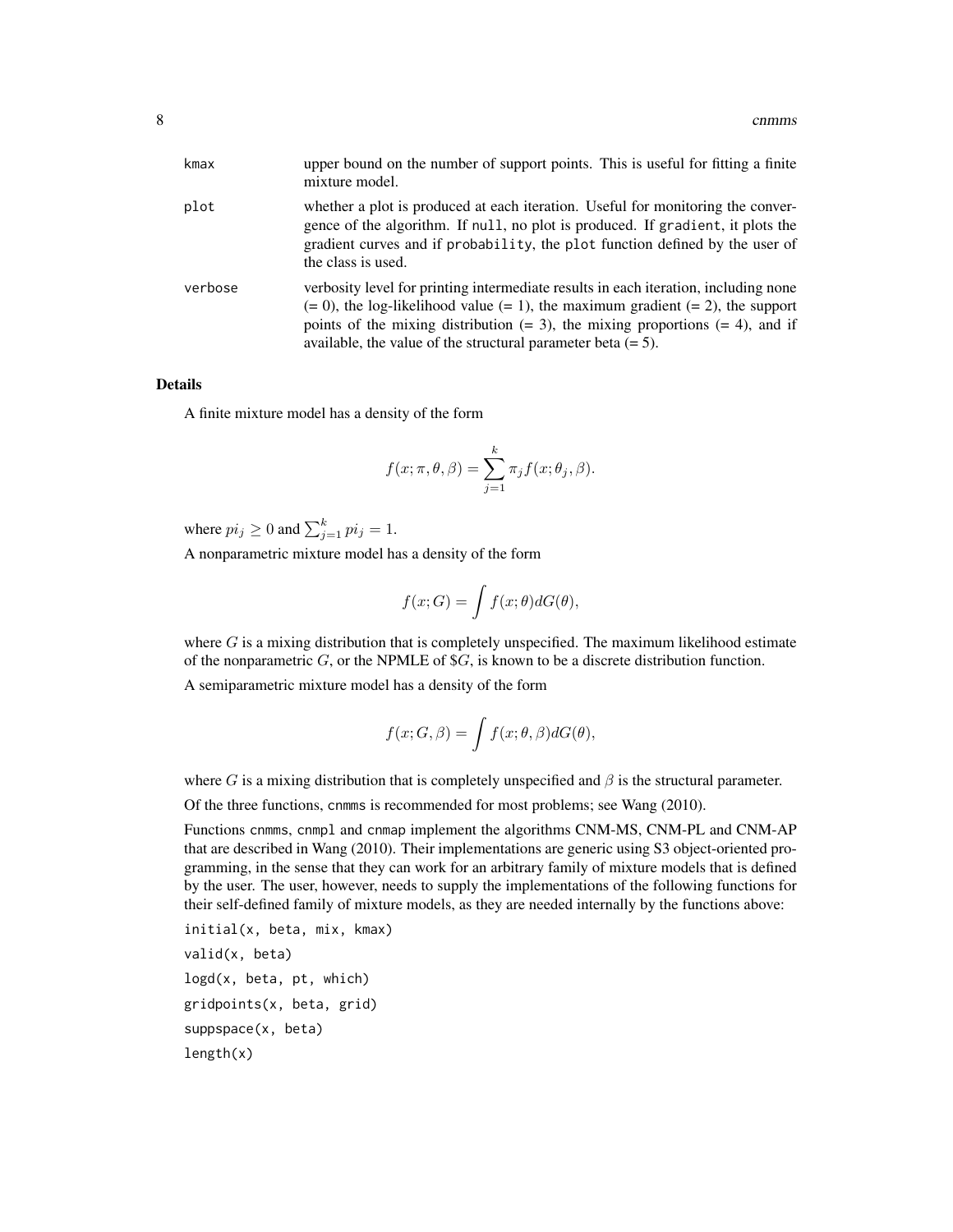| kmax    | upper bound on the number of support points. This is useful for fitting a finite<br>mixture model.                                                                                                                                                                                                                                       |
|---------|------------------------------------------------------------------------------------------------------------------------------------------------------------------------------------------------------------------------------------------------------------------------------------------------------------------------------------------|
| plot    | whether a plot is produced at each iteration. Useful for monitoring the conver-<br>gence of the algorithm. If null, no plot is produced. If gradient, it plots the<br>gradient curves and if probability, the plot function defined by the user of<br>the class is used.                                                                 |
| verbose | verbosity level for printing intermediate results in each iteration, including none<br>$(= 0)$ , the log-likelihood value $(= 1)$ , the maximum gradient $(= 2)$ , the support<br>points of the mixing distribution $(= 3)$ , the mixing proportions $(= 4)$ , and if<br>available, the value of the structural parameter beta $(= 5)$ . |

#### Details

A finite mixture model has a density of the form

$$
f(x; \pi, \theta, \beta) = \sum_{j=1}^{k} \pi_j f(x; \theta_j, \beta).
$$

where  $pi_j \ge 0$  and  $\sum_{j=1}^k pi_j = 1$ .

A nonparametric mixture model has a density of the form

$$
f(x;G) = \int f(x;\theta)dG(\theta),
$$

where  $G$  is a mixing distribution that is completely unspecified. The maximum likelihood estimate of the nonparametric  $G$ , or the NPMLE of \$ $G$ , is known to be a discrete distribution function.

A semiparametric mixture model has a density of the form

$$
f(x; G, \beta) = \int f(x; \theta, \beta) dG(\theta),
$$

where G is a mixing distribution that is completely unspecified and  $\beta$  is the structural parameter.

Of the three functions, cnmms is recommended for most problems; see Wang (2010).

Functions cnmms, cnmpl and cnmap implement the algorithms CNM-MS, CNM-PL and CNM-AP that are described in Wang (2010). Their implementations are generic using S3 object-oriented programming, in the sense that they can work for an arbitrary family of mixture models that is defined by the user. The user, however, needs to supply the implementations of the following functions for their self-defined family of mixture models, as they are needed internally by the functions above:

```
initial(x, beta, mix, kmax)
valid(x, beta)
logd(x, beta, pt, which)
gridpoints(x, beta, grid)
suppspace(x, beta)
length(x)
```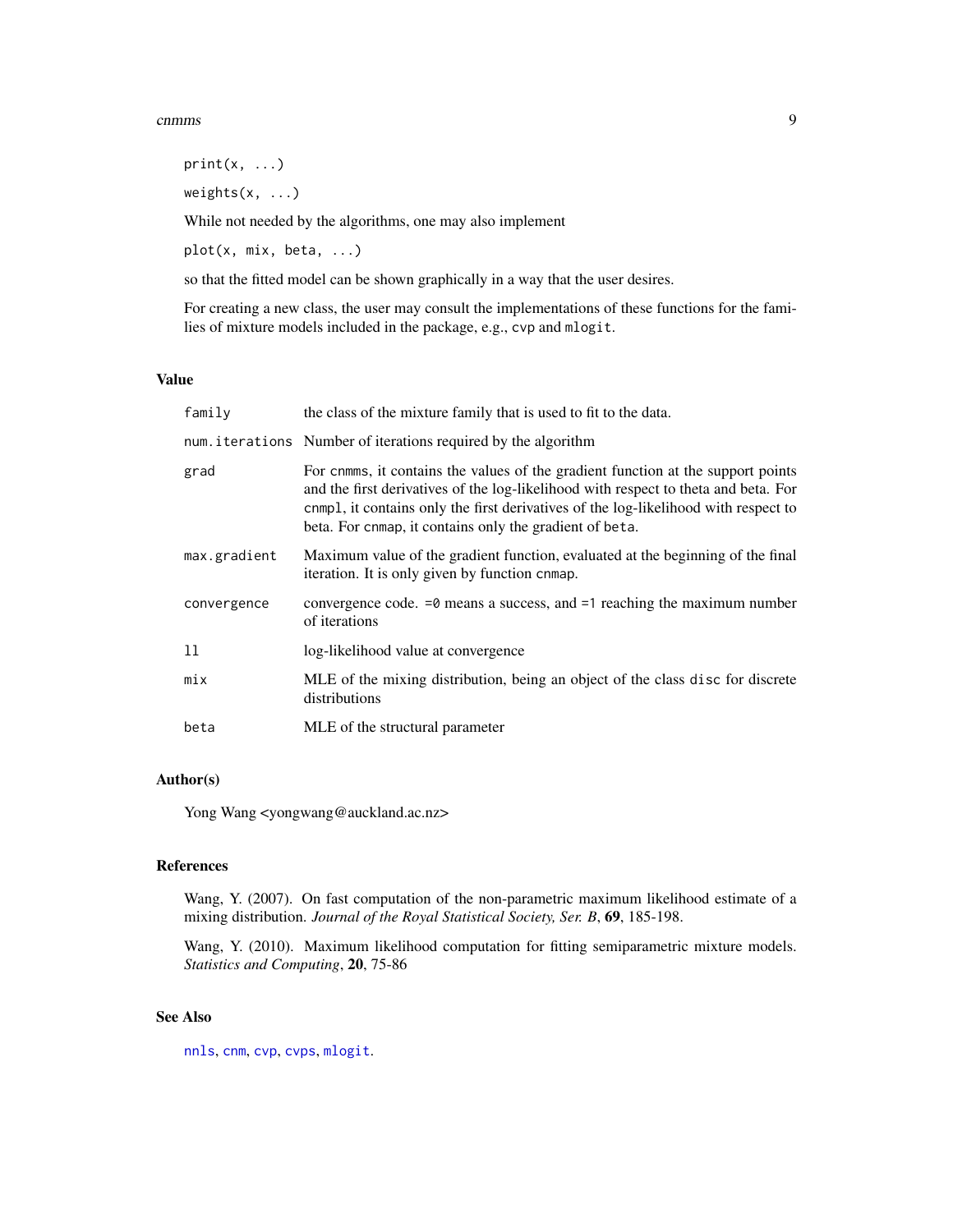#### <span id="page-8-0"></span>comms and the contract of the contract of the contract of the contract of the contract of the contract of the contract of the contract of the contract of the contract of the contract of the contract of the contract of the

 $print(x, \ldots)$ 

weights(x, ...)

While not needed by the algorithms, one may also implement

plot(x, mix, beta, ...)

so that the fitted model can be shown graphically in a way that the user desires.

For creating a new class, the user may consult the implementations of these functions for the families of mixture models included in the package, e.g., cvp and mlogit.

### Value

| family       | the class of the mixture family that is used to fit to the data.                                                                                                                                                                                                                                                          |
|--------------|---------------------------------------------------------------------------------------------------------------------------------------------------------------------------------------------------------------------------------------------------------------------------------------------------------------------------|
|              | num. iterations Number of iterations required by the algorithm                                                                                                                                                                                                                                                            |
| grad         | For cnmms, it contains the values of the gradient function at the support points<br>and the first derivatives of the log-likelihood with respect to theta and beta. For<br>cnmpl, it contains only the first derivatives of the log-likelihood with respect to<br>beta. For cnmap, it contains only the gradient of beta. |
| max.gradient | Maximum value of the gradient function, evaluated at the beginning of the final<br>iteration. It is only given by function cnmap.                                                                                                                                                                                         |
| convergence  | convergence code. $=0$ means a success, and $=1$ reaching the maximum number<br>of iterations                                                                                                                                                                                                                             |
| 11           | log-likelihood value at convergence                                                                                                                                                                                                                                                                                       |
| mix          | MLE of the mixing distribution, being an object of the class disc for discrete<br>distributions                                                                                                                                                                                                                           |
| beta         | MLE of the structural parameter                                                                                                                                                                                                                                                                                           |

#### Author(s)

Yong Wang <yongwang@auckland.ac.nz>

# References

Wang, Y. (2007). On fast computation of the non-parametric maximum likelihood estimate of a mixing distribution. *Journal of the Royal Statistical Society, Ser. B*, 69, 185-198.

Wang, Y. (2010). Maximum likelihood computation for fitting semiparametric mixture models. *Statistics and Computing*, 20, 75-86

# See Also

[nnls](#page-0-0), [cnm](#page-3-1), [cvp](#page-9-1), [cvps](#page-9-2), [mlogit](#page-13-1).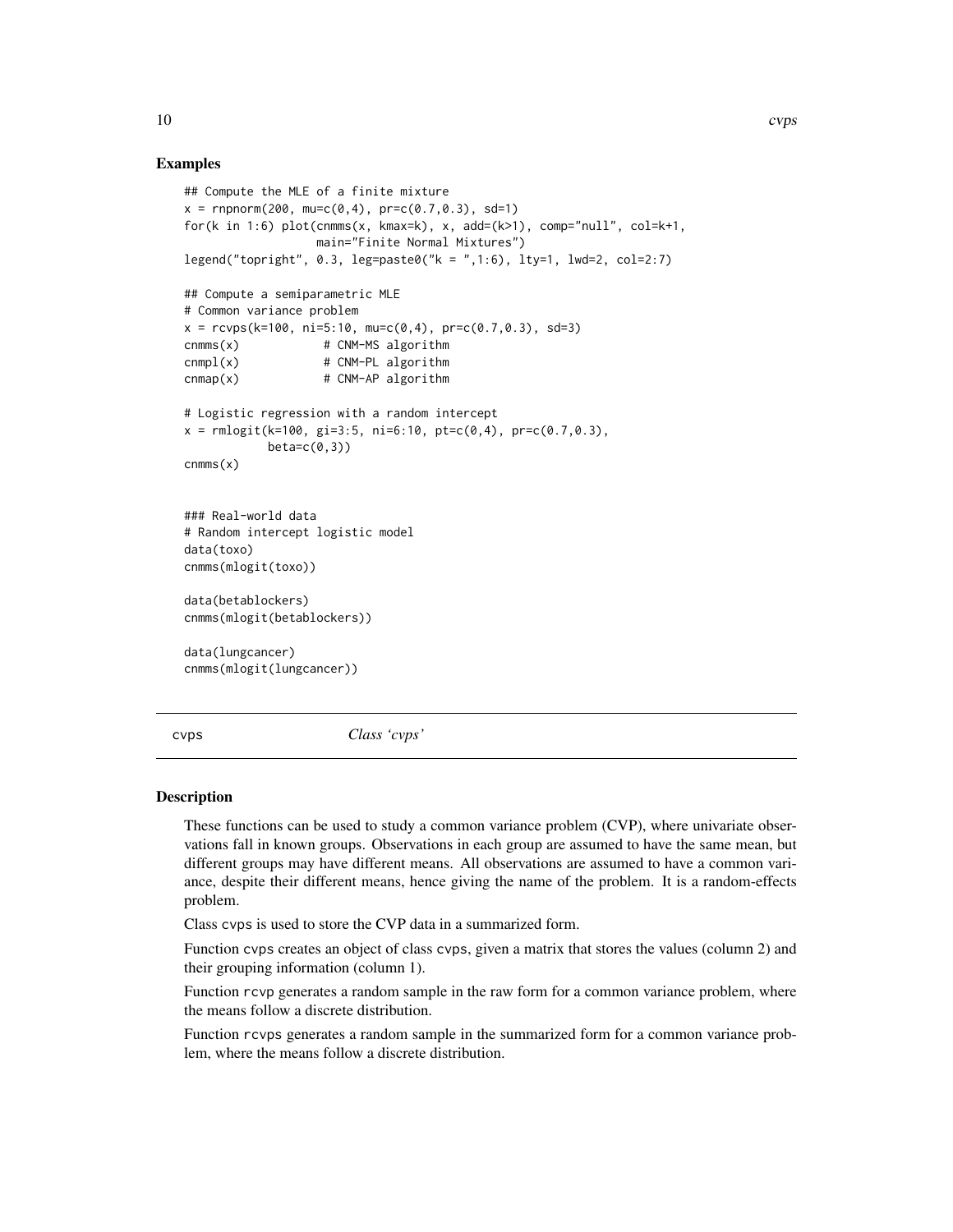#### Examples

```
## Compute the MLE of a finite mixture
x = rnpnorm(200, mu=c(0,4), pr=c(0.7,0.3), sd=1)
for(k in 1:6) plot(cnmms(x, kmax=k), x, add=(k>1), comp="null", col=k+1,
                   main="Finite Normal Mixtures")
legend("topright", 0.3, leg=paste0("k = ",1:6), lty=1, lwd=2, col=2:7)
## Compute a semiparametric MLE
# Common variance problem
x = r \cos(k=100, n = 5:10, m = c(0, 4), pr = c(0.7, 0.3), sd = 3)cnmms(x) # CNM-MS algorithm
cnmp1(x) # CNM-PL algorithm
r = 2 cnmap(x) \# CNM-AP algorithm
# Logistic regression with a random intercept
x = \text{rmlogit}(k=100, \text{ gi}=3:5, \text{ ni}=6:10, \text{ pt}=c(0,4), \text{ pr}=c(0.7,0.3),beta=c(0,3))cnmms(x)### Real-world data
# Random intercept logistic model
data(toxo)
cnmms(mlogit(toxo))
data(betablockers)
cnmms(mlogit(betablockers))
data(lungcancer)
cnmms(mlogit(lungcancer))
```
<span id="page-9-2"></span>cvps *Class 'cvps'*

#### <span id="page-9-1"></span>Description

These functions can be used to study a common variance problem (CVP), where univariate observations fall in known groups. Observations in each group are assumed to have the same mean, but different groups may have different means. All observations are assumed to have a common variance, despite their different means, hence giving the name of the problem. It is a random-effects problem.

Class cvps is used to store the CVP data in a summarized form.

Function cvps creates an object of class cvps, given a matrix that stores the values (column 2) and their grouping information (column 1).

Function rcvp generates a random sample in the raw form for a common variance problem, where the means follow a discrete distribution.

Function rcvps generates a random sample in the summarized form for a common variance problem, where the means follow a discrete distribution.

<span id="page-9-0"></span>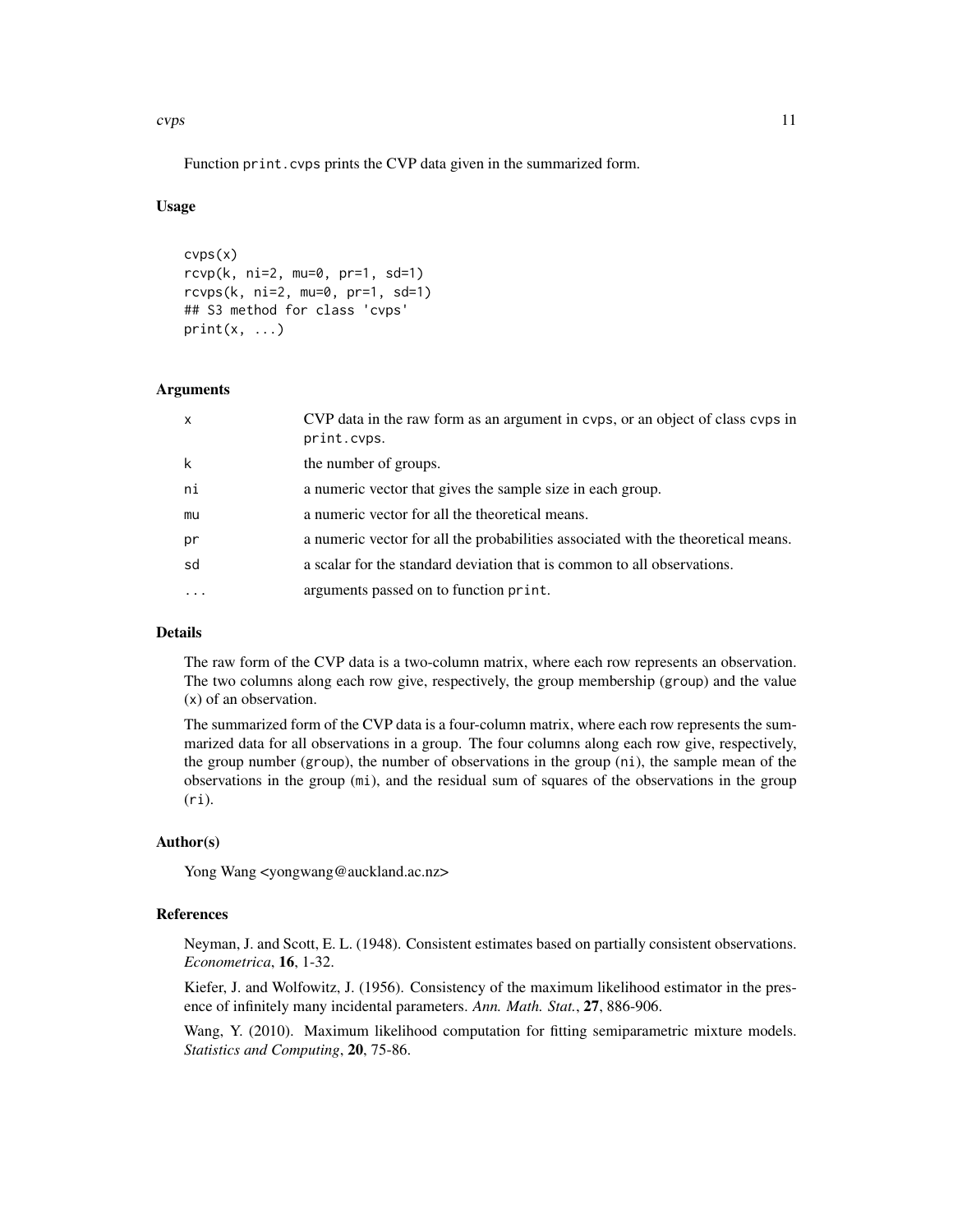cvps and the contract of the contract of the contract of the contract of the contract of the contract of the contract of the contract of the contract of the contract of the contract of the contract of the contract of the c

Function print.cvps prints the CVP data given in the summarized form.

#### Usage

```
cvps(x)
rcvp(k, ni=2, mu=0, pr=1, sd=1)
rcvps(k, ni=2, mu=0, pr=1, sd=1)
## S3 method for class 'cvps'
print(x, \ldots)
```
#### Arguments

| $\mathsf{x}$ | CVP data in the raw form as an argument in cvps, or an object of class cvps in<br>print.cvps. |
|--------------|-----------------------------------------------------------------------------------------------|
| k            | the number of groups.                                                                         |
| ni           | a numeric vector that gives the sample size in each group.                                    |
| mu           | a numeric vector for all the theoretical means.                                               |
| pr           | a numeric vector for all the probabilities associated with the theoretical means.             |
| sd           | a scalar for the standard deviation that is common to all observations.                       |
|              | arguments passed on to function print.                                                        |
|              |                                                                                               |

# Details

The raw form of the CVP data is a two-column matrix, where each row represents an observation. The two columns along each row give, respectively, the group membership (group) and the value (x) of an observation.

The summarized form of the CVP data is a four-column matrix, where each row represents the summarized data for all observations in a group. The four columns along each row give, respectively, the group number (group), the number of observations in the group (ni), the sample mean of the observations in the group (mi), and the residual sum of squares of the observations in the group  $(ri)$ .

#### Author(s)

Yong Wang <yongwang@auckland.ac.nz>

#### References

Neyman, J. and Scott, E. L. (1948). Consistent estimates based on partially consistent observations. *Econometrica*, 16, 1-32.

Kiefer, J. and Wolfowitz, J. (1956). Consistency of the maximum likelihood estimator in the presence of infinitely many incidental parameters. *Ann. Math. Stat.*, 27, 886-906.

Wang, Y. (2010). Maximum likelihood computation for fitting semiparametric mixture models. *Statistics and Computing*, 20, 75-86.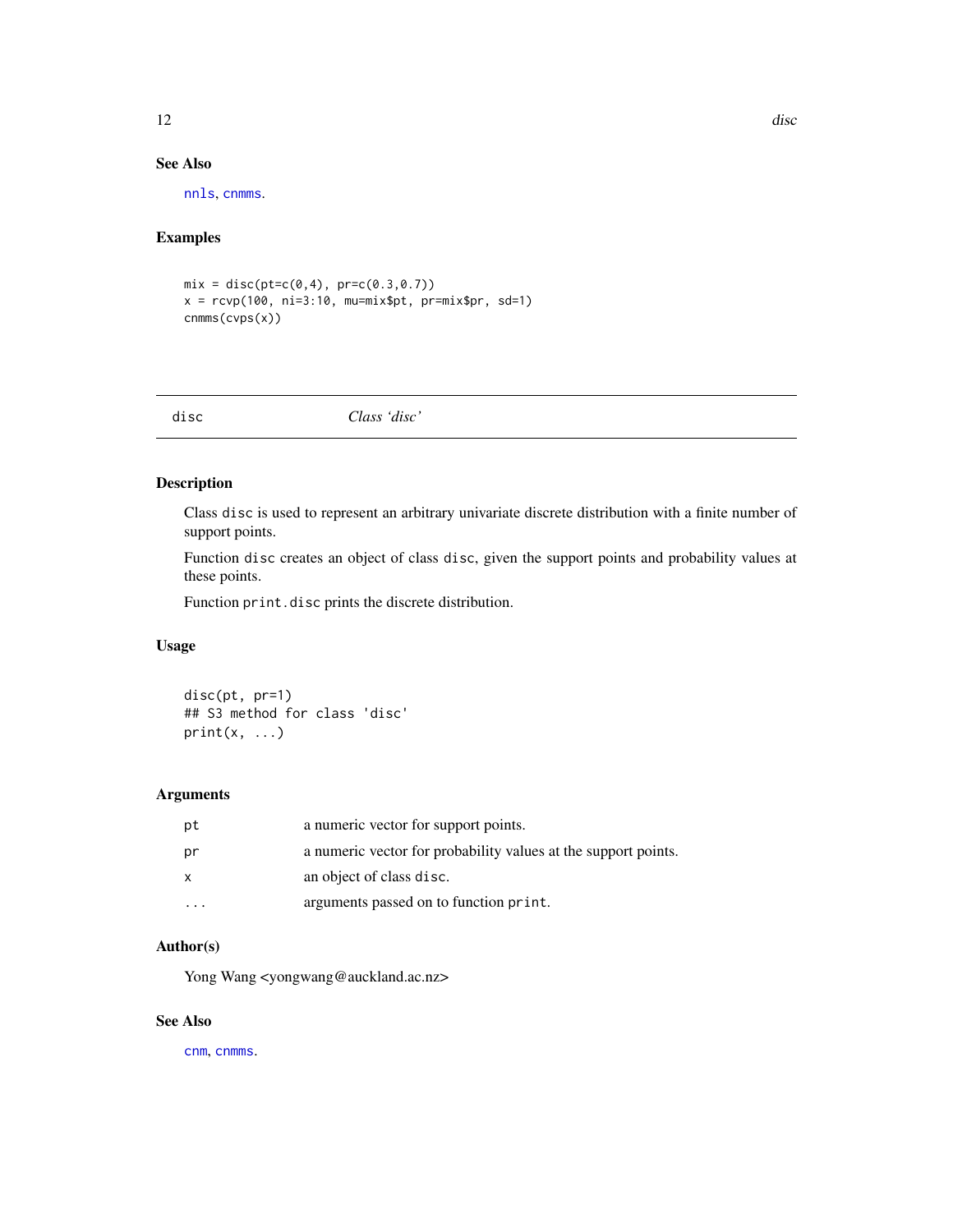# <span id="page-11-0"></span>See Also

[nnls](#page-0-0), [cnmms](#page-6-1).

### Examples

```
mix = disc(pt=c(0, 4), pr=c(0.3, 0.7))x = r \text{cvp}(100, ni=3:10, mu=mix$pt, pr=mix$pr, sd=1)cnmms(cvps(x))
```
disc *Class 'disc'*

# Description

Class disc is used to represent an arbitrary univariate discrete distribution with a finite number of support points.

Function disc creates an object of class disc, given the support points and probability values at these points.

Function print.disc prints the discrete distribution.

# Usage

disc(pt, pr=1) ## S3 method for class 'disc'  $print(x, \ldots)$ 

# Arguments

| рt | a numeric vector for support points.                           |
|----|----------------------------------------------------------------|
| pr | a numeric vector for probability values at the support points. |
| x  | an object of class disc.                                       |
|    | arguments passed on to function print.                         |

# Author(s)

Yong Wang <yongwang@auckland.ac.nz>

# See Also

[cnm](#page-3-1), [cnmms](#page-6-1).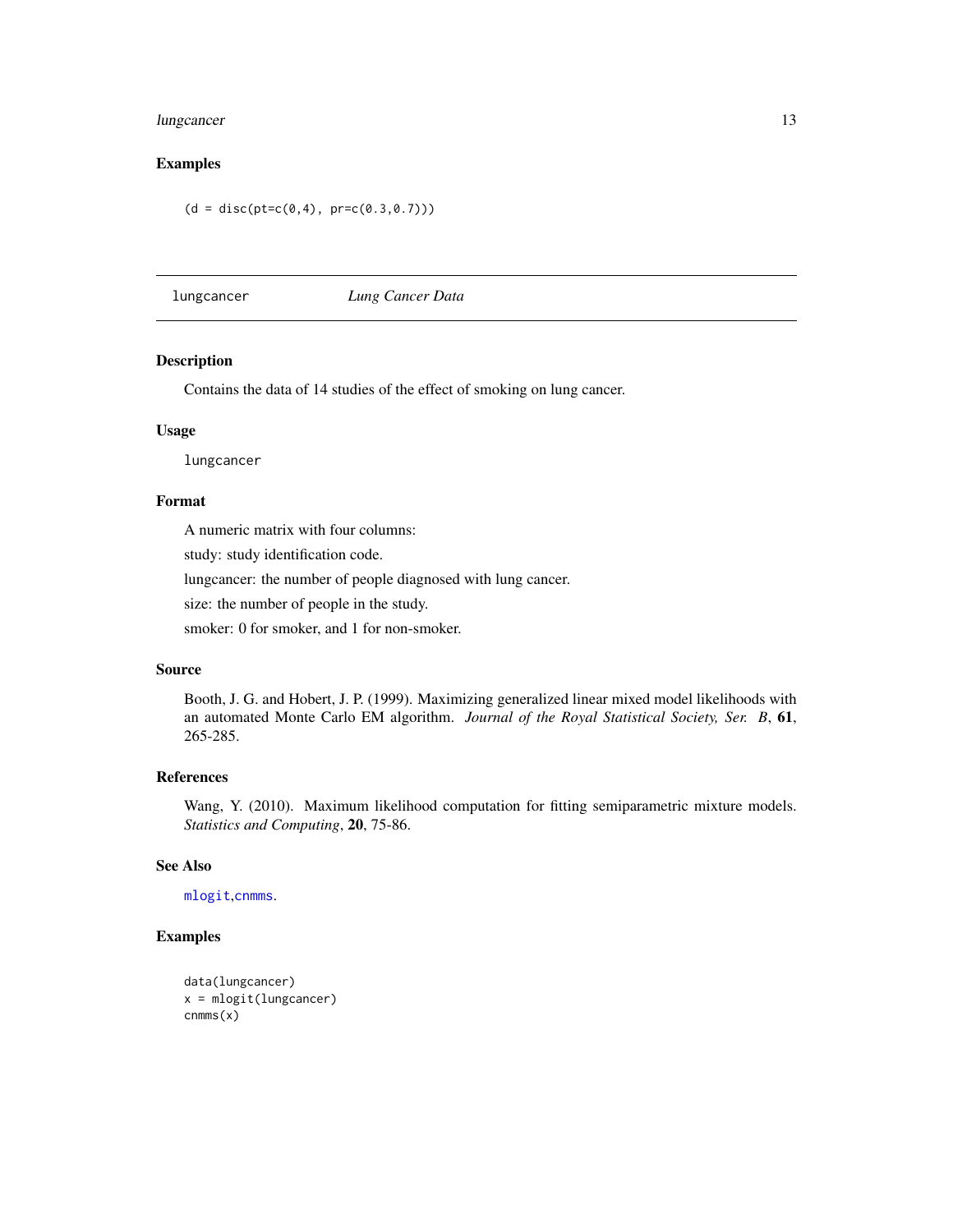# <span id="page-12-0"></span>lungcancer 13

# Examples

 $(d = disc(pt=c(0, 4), pr=c(0.3, 0.7)))$ 

lungcancer *Lung Cancer Data*

#### Description

Contains the data of 14 studies of the effect of smoking on lung cancer.

#### Usage

lungcancer

#### Format

A numeric matrix with four columns:

study: study identification code.

lungcancer: the number of people diagnosed with lung cancer.

size: the number of people in the study.

smoker: 0 for smoker, and 1 for non-smoker.

#### Source

Booth, J. G. and Hobert, J. P. (1999). Maximizing generalized linear mixed model likelihoods with an automated Monte Carlo EM algorithm. *Journal of the Royal Statistical Society, Ser. B*, 61, 265-285.

# References

Wang, Y. (2010). Maximum likelihood computation for fitting semiparametric mixture models. *Statistics and Computing*, 20, 75-86.

# See Also

[mlogit](#page-13-1),[cnmms](#page-6-1).

```
data(lungcancer)
x = mlogit(lungcancer)
cnmms(x)
```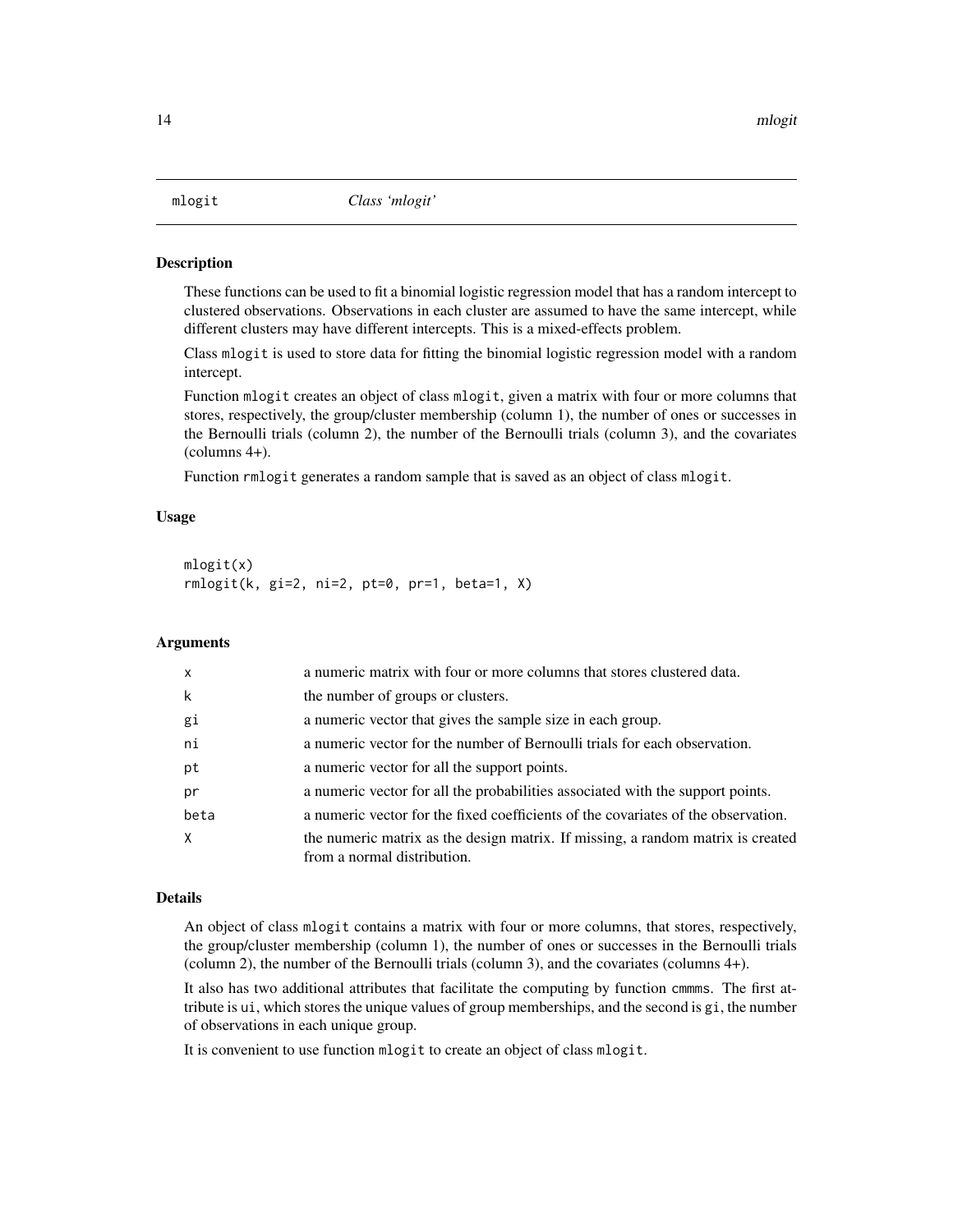<span id="page-13-1"></span><span id="page-13-0"></span>

These functions can be used to fit a binomial logistic regression model that has a random intercept to clustered observations. Observations in each cluster are assumed to have the same intercept, while different clusters may have different intercepts. This is a mixed-effects problem.

Class mlogit is used to store data for fitting the binomial logistic regression model with a random intercept.

Function mlogit creates an object of class mlogit, given a matrix with four or more columns that stores, respectively, the group/cluster membership (column 1), the number of ones or successes in the Bernoulli trials (column 2), the number of the Bernoulli trials (column 3), and the covariates (columns 4+).

Function rmlogit generates a random sample that is saved as an object of class mlogit.

#### Usage

```
mlogit(x)
rmlogit(k, gi=2, ni=2, pt=0, pr=1, beta=1, X)
```
# Arguments

| $\mathsf{x}$ | a numeric matrix with four or more columns that stores clustered data.                                         |
|--------------|----------------------------------------------------------------------------------------------------------------|
| k            | the number of groups or clusters.                                                                              |
| gi           | a numeric vector that gives the sample size in each group.                                                     |
| ni           | a numeric vector for the number of Bernoulli trials for each observation.                                      |
| pt           | a numeric vector for all the support points.                                                                   |
| pr           | a numeric vector for all the probabilities associated with the support points.                                 |
| beta         | a numeric vector for the fixed coefficients of the covariates of the observation.                              |
| $\times$     | the numeric matrix as the design matrix. If missing, a random matrix is created<br>from a normal distribution. |

# Details

An object of class mlogit contains a matrix with four or more columns, that stores, respectively, the group/cluster membership (column 1), the number of ones or successes in the Bernoulli trials (column 2), the number of the Bernoulli trials (column 3), and the covariates (columns 4+).

It also has two additional attributes that facilitate the computing by function cmmms. The first attribute is ui, which stores the unique values of group memberships, and the second is gi, the number of observations in each unique group.

It is convenient to use function mlogit to create an object of class mlogit.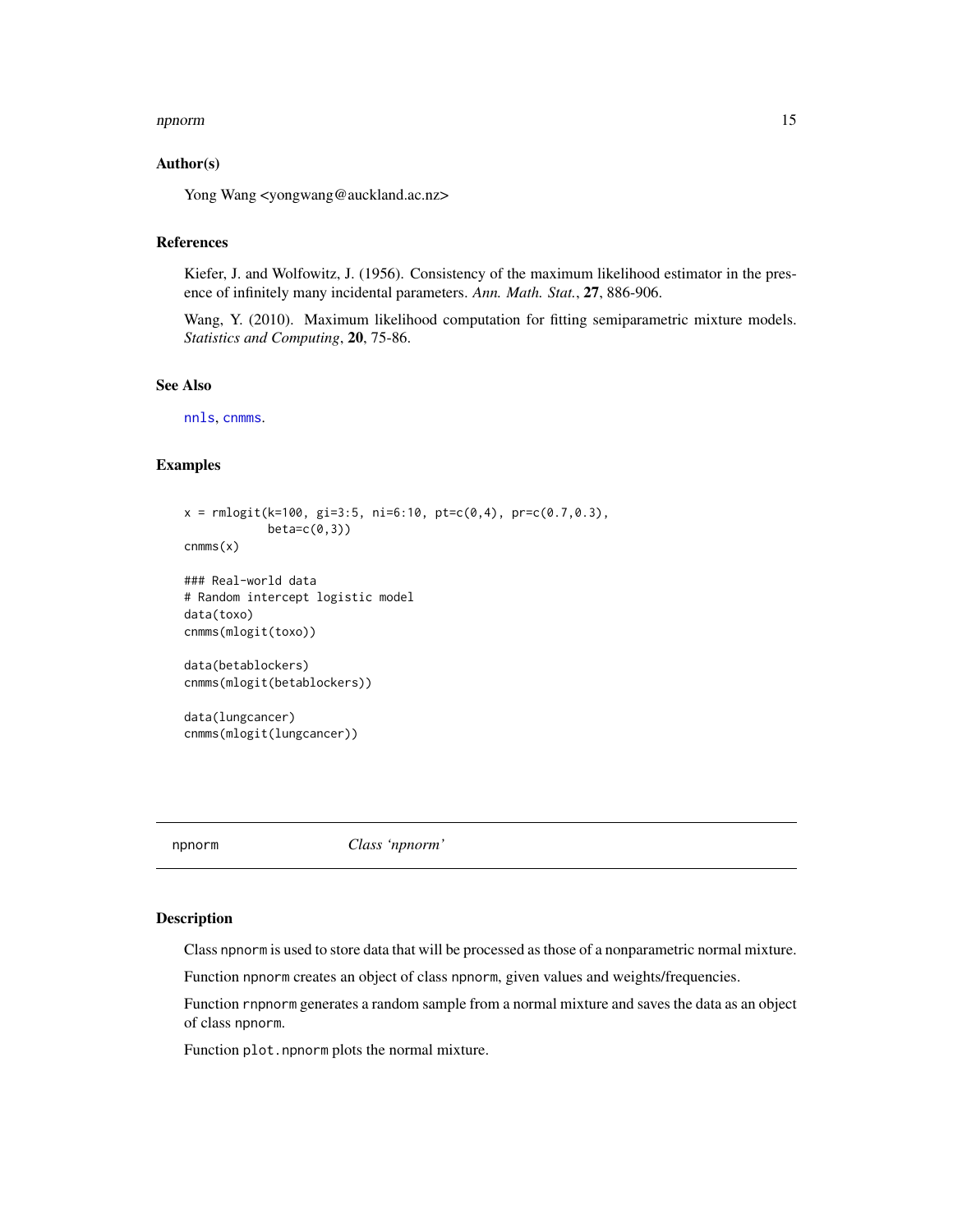#### <span id="page-14-0"></span>npnorm and the contract of the contract of the contract of the contract of the contract of the contract of the contract of the contract of the contract of the contract of the contract of the contract of the contract of the

#### Author(s)

Yong Wang <yongwang@auckland.ac.nz>

#### References

Kiefer, J. and Wolfowitz, J. (1956). Consistency of the maximum likelihood estimator in the presence of infinitely many incidental parameters. *Ann. Math. Stat.*, 27, 886-906.

Wang, Y. (2010). Maximum likelihood computation for fitting semiparametric mixture models. *Statistics and Computing*, 20, 75-86.

#### See Also

[nnls](#page-0-0), [cnmms](#page-6-1).

# Examples

```
x = \text{rmlogit}(k=100, \text{ gi}=3:5, \text{ ni}=6:10, \text{ pt}=c(0,4), \text{ pr}=c(0.7,0.3),beta=c(0,3))
cnmms(x)### Real-world data
# Random intercept logistic model
data(toxo)
cnmms(mlogit(toxo))
data(betablockers)
cnmms(mlogit(betablockers))
data(lungcancer)
cnmms(mlogit(lungcancer))
```
<span id="page-14-1"></span>

npnorm *Class 'npnorm'*

#### Description

Class npnorm is used to store data that will be processed as those of a nonparametric normal mixture.

Function npnorm creates an object of class npnorm, given values and weights/frequencies.

Function rnpnorm generates a random sample from a normal mixture and saves the data as an object of class npnorm.

Function plot.npnorm plots the normal mixture.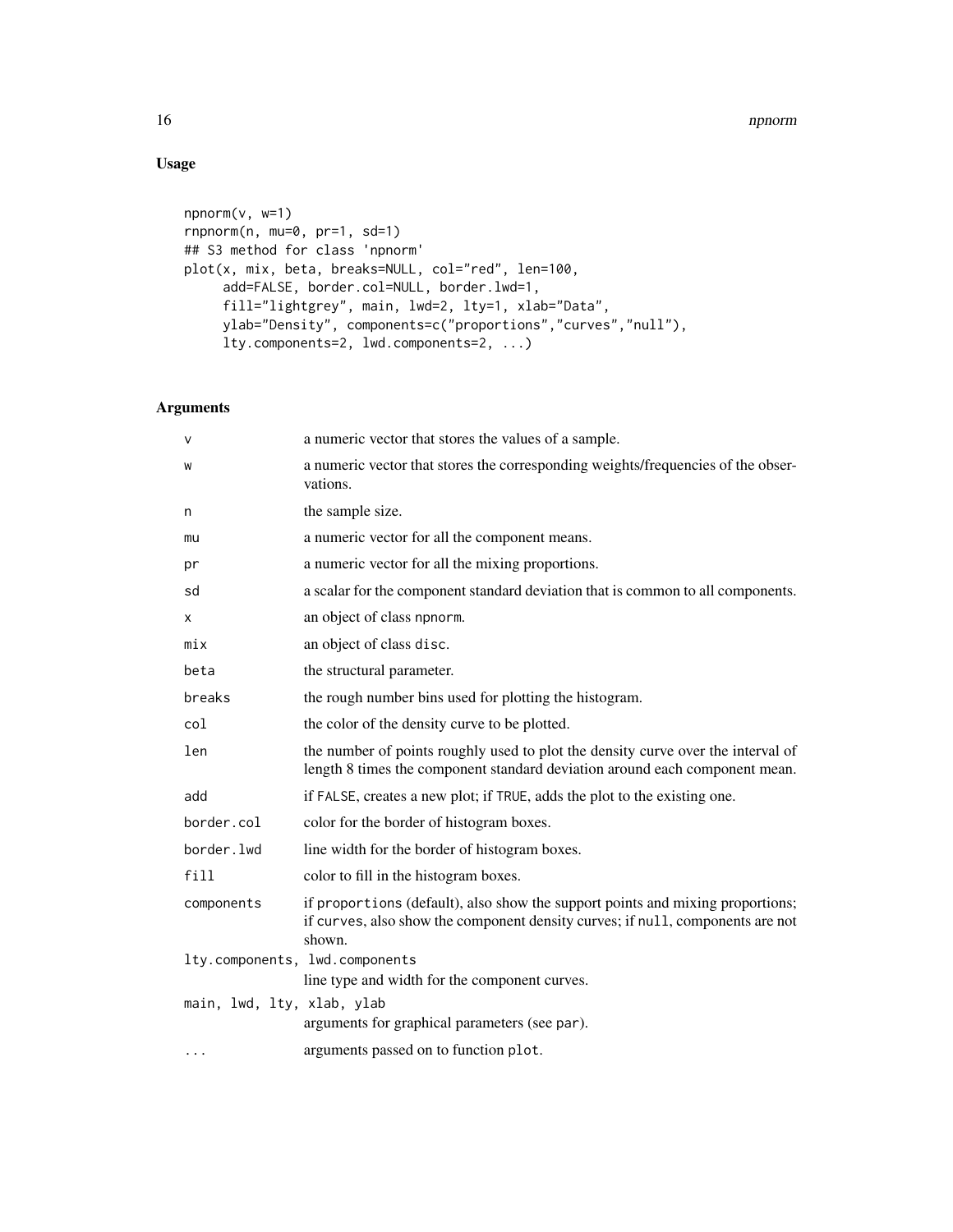# Usage

```
npnorm(v, w=1)
rnpnorm(n, mu=0, pr=1, sd=1)
## S3 method for class 'npnorm'
plot(x, mix, beta, breaks=NULL, col="red", len=100,
     add=FALSE, border.col=NULL, border.lwd=1,
     fill="lightgrey", main, lwd=2, lty=1, xlab="Data",
     ylab="Density", components=c("proportions","curves","null"),
     lty.components=2, lwd.components=2, ...)
```

| V                          | a numeric vector that stores the values of a sample.                                                                                                                       |
|----------------------------|----------------------------------------------------------------------------------------------------------------------------------------------------------------------------|
| W                          | a numeric vector that stores the corresponding weights/frequencies of the obser-<br>vations.                                                                               |
| n                          | the sample size.                                                                                                                                                           |
| mu                         | a numeric vector for all the component means.                                                                                                                              |
| pr                         | a numeric vector for all the mixing proportions.                                                                                                                           |
| sd                         | a scalar for the component standard deviation that is common to all components.                                                                                            |
| X                          | an object of class npnorm.                                                                                                                                                 |
| mix                        | an object of class disc.                                                                                                                                                   |
| beta                       | the structural parameter.                                                                                                                                                  |
| breaks                     | the rough number bins used for plotting the histogram.                                                                                                                     |
| col                        | the color of the density curve to be plotted.                                                                                                                              |
| len                        | the number of points roughly used to plot the density curve over the interval of<br>length 8 times the component standard deviation around each component mean.            |
| add                        | if FALSE, creates a new plot; if TRUE, adds the plot to the existing one.                                                                                                  |
| border.col                 | color for the border of histogram boxes.                                                                                                                                   |
| border.lwd                 | line width for the border of histogram boxes.                                                                                                                              |
| fill                       | color to fill in the histogram boxes.                                                                                                                                      |
| components                 | if proportions (default), also show the support points and mixing proportions;<br>if curves, also show the component density curves; if null, components are not<br>shown. |
|                            | lty.components, lwd.components                                                                                                                                             |
|                            | line type and width for the component curves.                                                                                                                              |
| main, lwd, lty, xlab, ylab | arguments for graphical parameters (see par).                                                                                                                              |
|                            |                                                                                                                                                                            |
|                            | arguments passed on to function plot.                                                                                                                                      |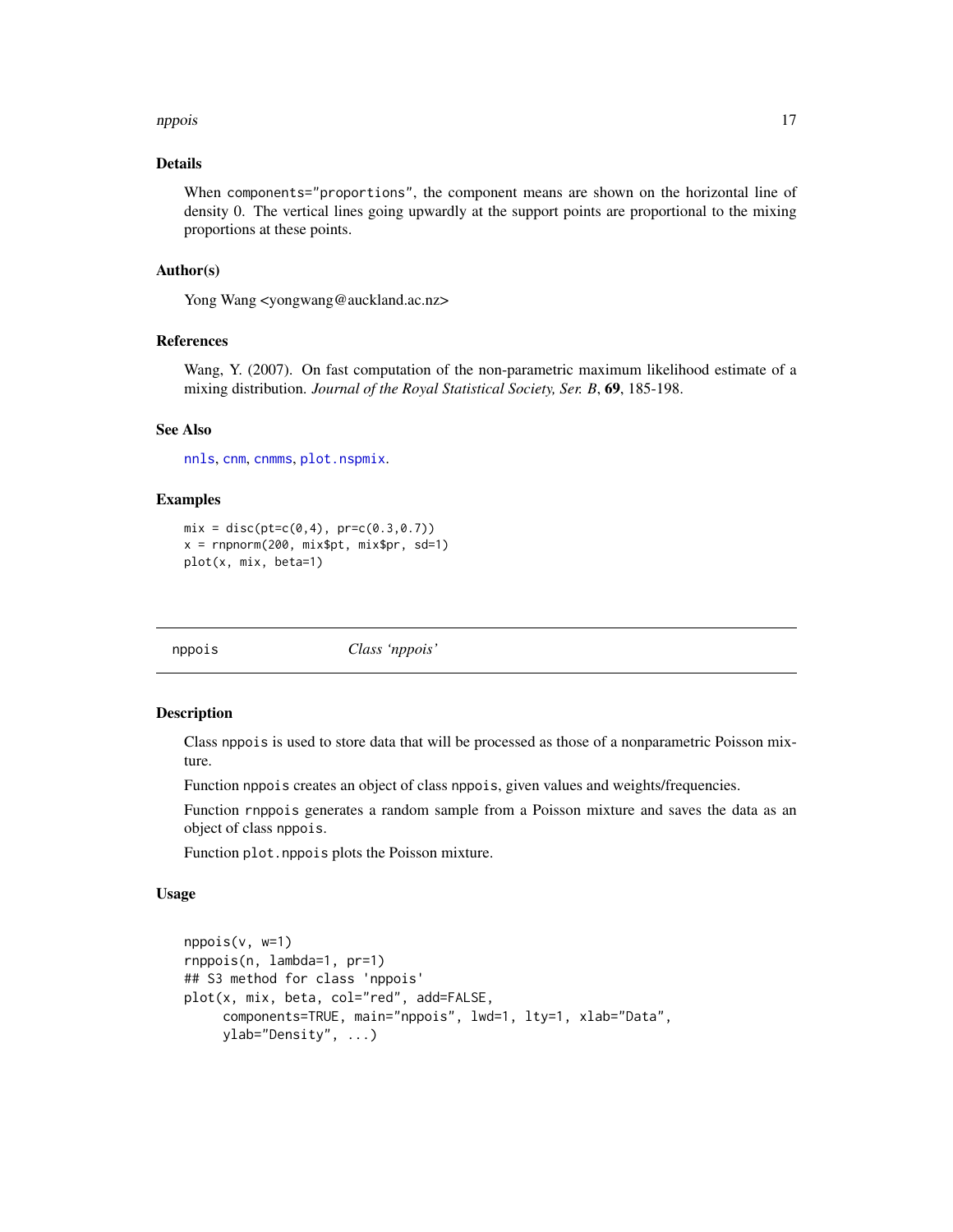#### <span id="page-16-0"></span>nppois and the contract of the contract of the contract of the contract of the contract of the contract of the contract of the contract of the contract of the contract of the contract of the contract of the contract of the

# Details

When components="proportions", the component means are shown on the horizontal line of density 0. The vertical lines going upwardly at the support points are proportional to the mixing proportions at these points.

#### Author(s)

Yong Wang <yongwang@auckland.ac.nz>

# References

Wang, Y. (2007). On fast computation of the non-parametric maximum likelihood estimate of a mixing distribution. *Journal of the Royal Statistical Society, Ser. B*, 69, 185-198.

#### See Also

[nnls](#page-0-0), [cnm](#page-3-1), [cnmms](#page-6-1), [plot.nspmix](#page-18-1).

#### Examples

```
mix = disc(pt=c(0, 4), pr=c(0.3, 0.7))x = rnpnorm(200, mix$pt, mix$pr, sd=1)plot(x, mix, beta=1)
```
<span id="page-16-1"></span>

nppois *Class 'nppois'*

#### Description

Class nppois is used to store data that will be processed as those of a nonparametric Poisson mixture.

Function nppois creates an object of class nppois, given values and weights/frequencies.

Function rnppois generates a random sample from a Poisson mixture and saves the data as an object of class nppois.

Function plot.nppois plots the Poisson mixture.

#### Usage

```
nppois(v, w=1)
rnppois(n, lambda=1, pr=1)
## S3 method for class 'nppois'
plot(x, mix, beta, col="red", add=FALSE,
     components=TRUE, main="nppois", lwd=1, lty=1, xlab="Data",
     ylab="Density", ...)
```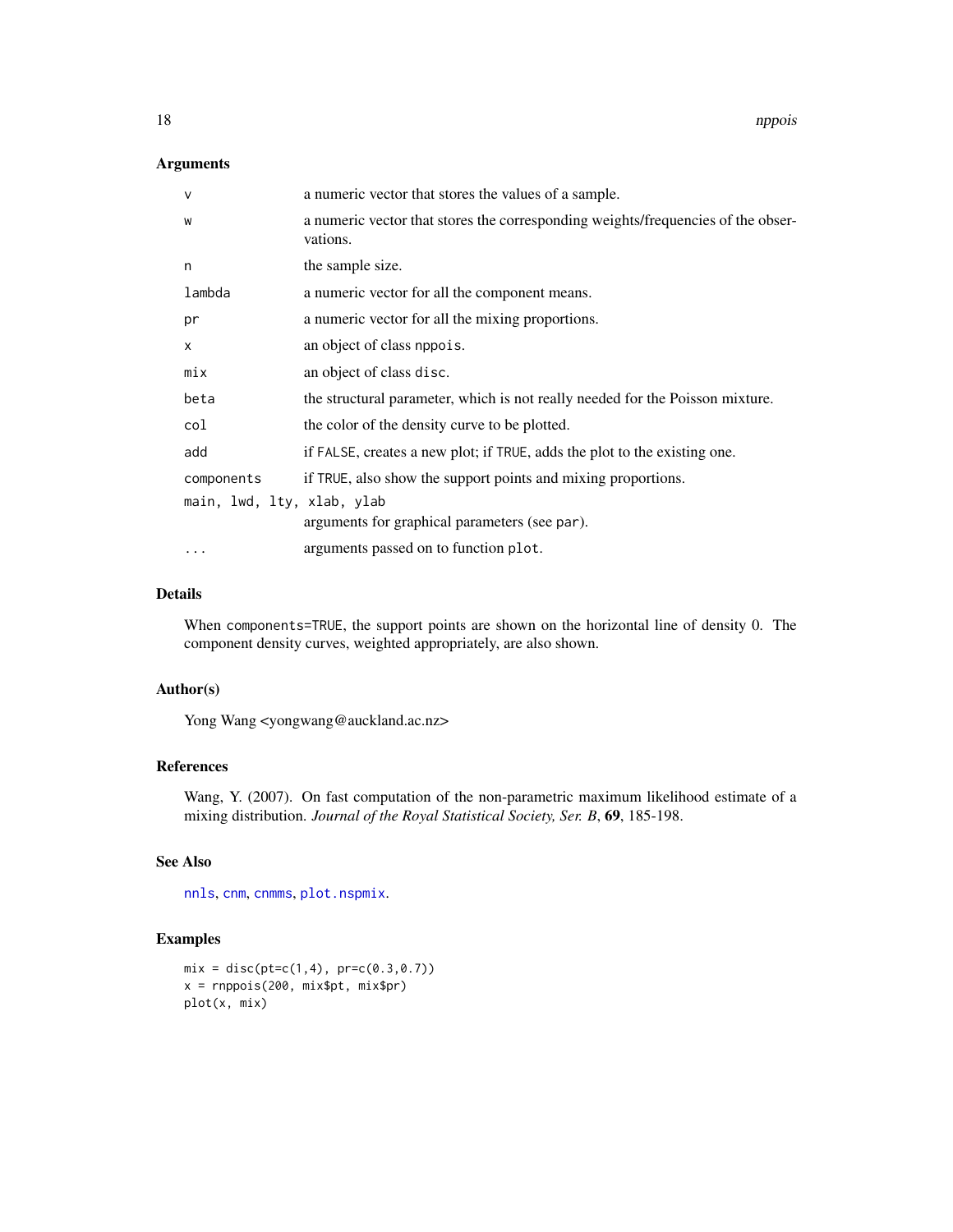# <span id="page-17-0"></span>Arguments

| $\mathsf{v}$               | a numeric vector that stores the values of a sample.                                         |
|----------------------------|----------------------------------------------------------------------------------------------|
| W                          | a numeric vector that stores the corresponding weights/frequencies of the obser-<br>vations. |
| n                          | the sample size.                                                                             |
| lambda                     | a numeric vector for all the component means.                                                |
| pr                         | a numeric vector for all the mixing proportions.                                             |
| X                          | an object of class nppois.                                                                   |
| mix                        | an object of class disc.                                                                     |
| beta                       | the structural parameter, which is not really needed for the Poisson mixture.                |
| col                        | the color of the density curve to be plotted.                                                |
| add                        | if FALSE, creates a new plot; if TRUE, adds the plot to the existing one.                    |
| components                 | if TRUE, also show the support points and mixing proportions.                                |
| main, lwd, lty, xlab, ylab | arguments for graphical parameters (see par).                                                |
| $\cdots$                   | arguments passed on to function plot.                                                        |

# Details

When components=TRUE, the support points are shown on the horizontal line of density 0. The component density curves, weighted appropriately, are also shown.

#### Author(s)

Yong Wang <yongwang@auckland.ac.nz>

# References

Wang, Y. (2007). On fast computation of the non-parametric maximum likelihood estimate of a mixing distribution. *Journal of the Royal Statistical Society, Ser. B*, 69, 185-198.

# See Also

[nnls](#page-0-0), [cnm](#page-3-1), [cnmms](#page-6-1), [plot.nspmix](#page-18-1).

```
mix = disc(pt=c(1, 4), pr=c(0.3, 0.7))x = rnppois(200, mix$pt, mix$pr)
plot(x, mix)
```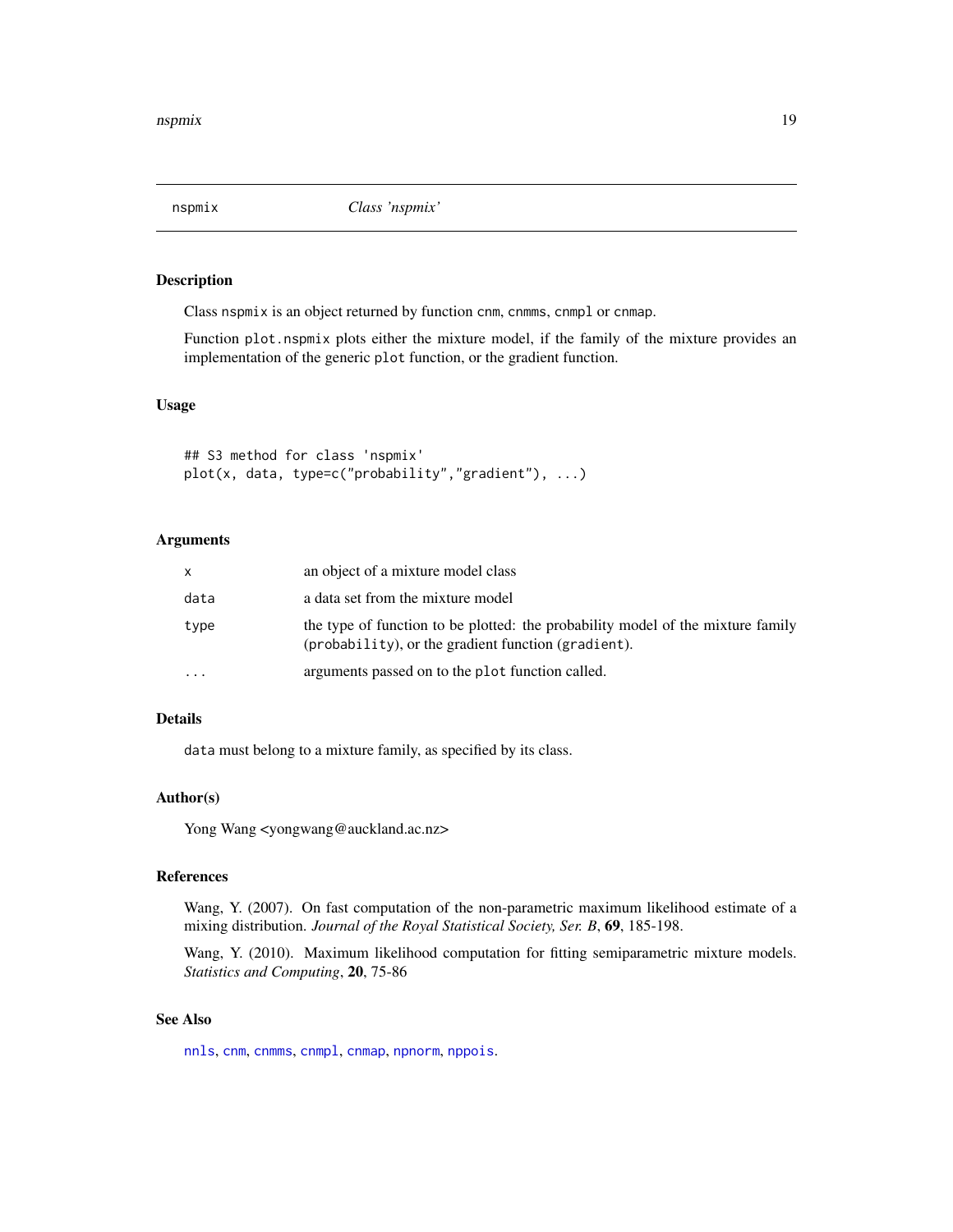<span id="page-18-1"></span><span id="page-18-0"></span>

Class nspmix is an object returned by function cnm, cnmms, cnmpl or cnmap.

Function plot.nspmix plots either the mixture model, if the family of the mixture provides an implementation of the generic plot function, or the gradient function.

#### Usage

## S3 method for class 'nspmix' plot(x, data, type=c("probability","gradient"), ...)

# Arguments

| X        | an object of a mixture model class                                                                                                           |
|----------|----------------------------------------------------------------------------------------------------------------------------------------------|
| data     | a data set from the mixture model                                                                                                            |
| type     | the type of function to be plotted: the probability model of the mixture family<br>$(probability)$ , or the gradient function $(gradient)$ . |
| $\cdots$ | arguments passed on to the plot function called.                                                                                             |

# Details

data must belong to a mixture family, as specified by its class.

# Author(s)

Yong Wang <yongwang@auckland.ac.nz>

#### References

Wang, Y. (2007). On fast computation of the non-parametric maximum likelihood estimate of a mixing distribution. *Journal of the Royal Statistical Society, Ser. B*, 69, 185-198.

Wang, Y. (2010). Maximum likelihood computation for fitting semiparametric mixture models. *Statistics and Computing*, 20, 75-86

# See Also

[nnls](#page-0-0), [cnm](#page-3-1), [cnmms](#page-6-1), [cnmpl](#page-6-2), [cnmap](#page-6-2), [npnorm](#page-14-1), [nppois](#page-16-1).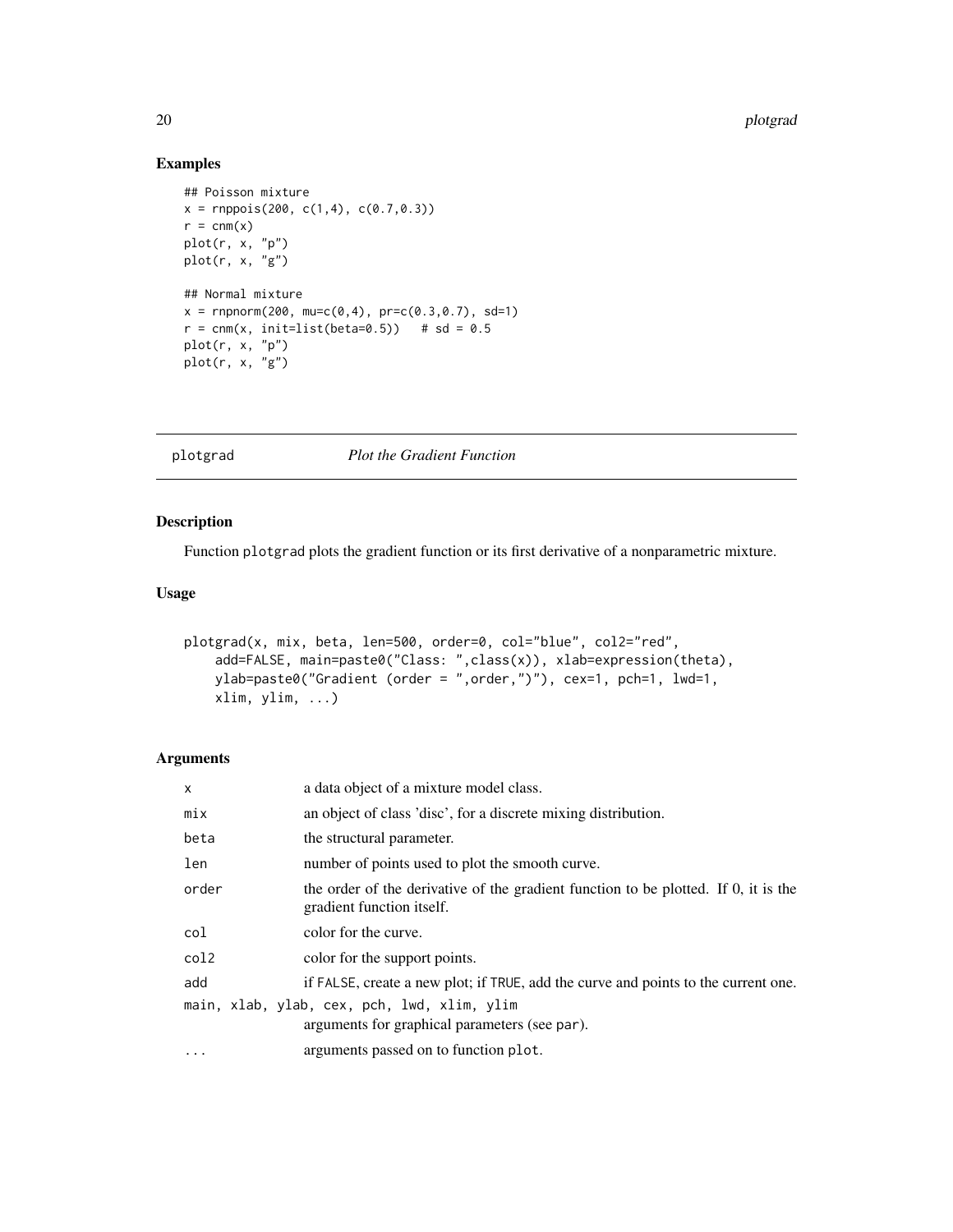# Examples

```
## Poisson mixture
x = rnppois(200, c(1,4), c(0.7,0.3))r = \text{cmm}(x)plot(r, x, "p")
plot(r, x, "g")
## Normal mixture
x = rnpnorm(200, mu=c(0,4), pr=c(0.3,0.7), sd=1)r = \text{cmm}(x, \text{init-list}(\text{beta=0.5})) # sd = 0.5
plot(r, x, "p")
plot(r, x, "g")
```
plotgrad *Plot the Gradient Function*

# Description

Function plotgrad plots the gradient function or its first derivative of a nonparametric mixture.

# Usage

```
plotgrad(x, mix, beta, len=500, order=0, col="blue", col2="red",
   add=FALSE, main=paste0("Class: ",class(x)), xlab=expression(theta),
   ylab=paste0("Gradient (order = ",order,")"), cex=1, pch=1, lwd=1,
   xlim, ylim, ...)
```

| X     | a data object of a mixture model class.                                                                          |
|-------|------------------------------------------------------------------------------------------------------------------|
| mix   | an object of class 'disc', for a discrete mixing distribution.                                                   |
| beta  | the structural parameter.                                                                                        |
| len   | number of points used to plot the smooth curve.                                                                  |
| order | the order of the derivative of the gradient function to be plotted. If 0, it is the<br>gradient function itself. |
| col   | color for the curve.                                                                                             |
| col2  | color for the support points.                                                                                    |
| add   | if FALSE, create a new plot; if TRUE, add the curve and points to the current one.                               |
|       | main, xlab, ylab, cex, pch, lwd, xlim, ylim<br>arguments for graphical parameters (see par).                     |
| .     | arguments passed on to function plot.                                                                            |

<span id="page-19-0"></span>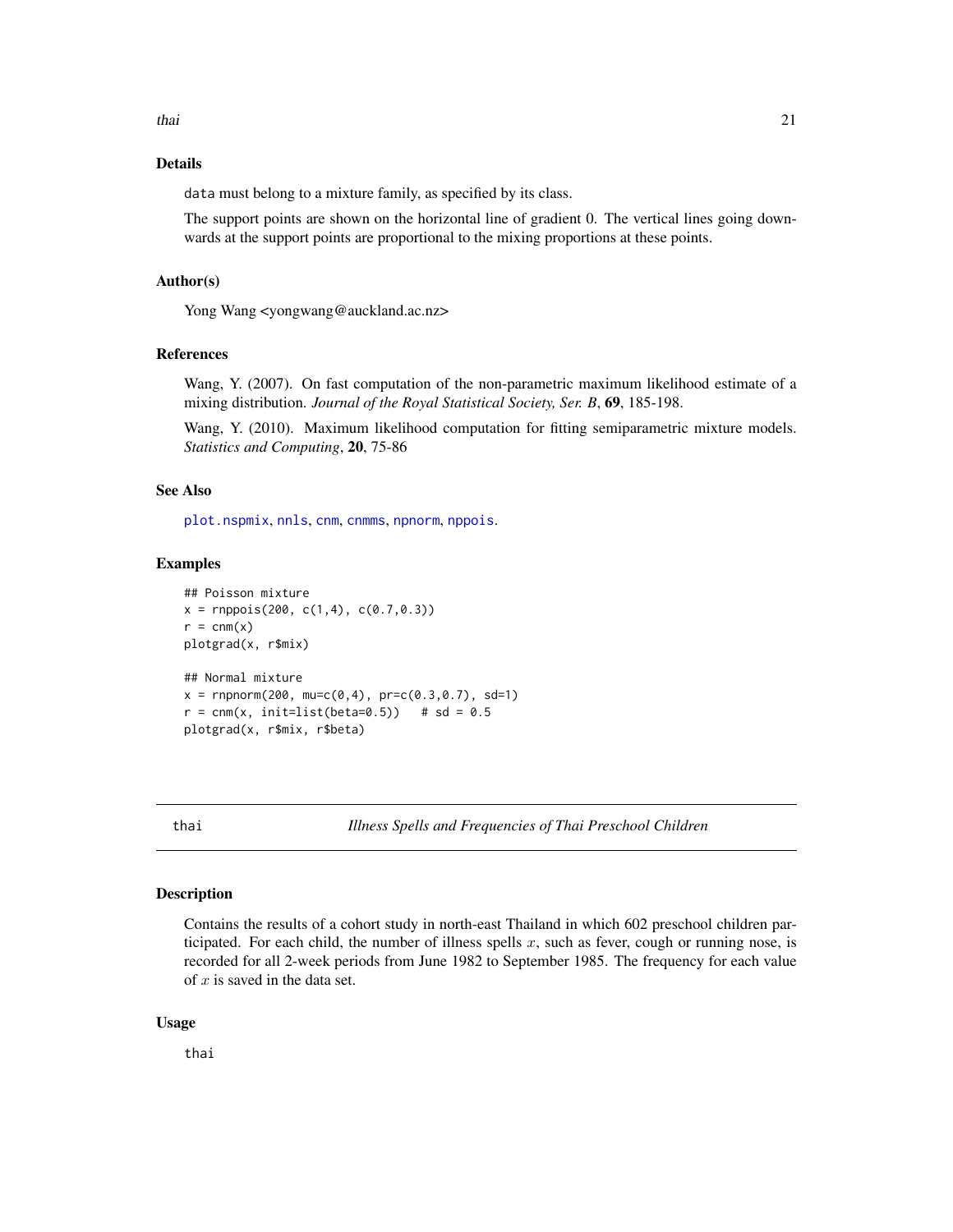<span id="page-20-0"></span>thai 21 and 22 and 22 and 22 and 22 and 23 and 23 and 23 and 23 and 23 and 23 and 24 and 25 and 26 and 27 and 27 and 27 and 27 and 27 and 27 and 27 and 27 and 27 and 27 and 27 and 27 and 27 and 27 and 27 and 27 and 27 and

# Details

data must belong to a mixture family, as specified by its class.

The support points are shown on the horizontal line of gradient 0. The vertical lines going downwards at the support points are proportional to the mixing proportions at these points.

# Author(s)

Yong Wang <yongwang@auckland.ac.nz>

#### References

Wang, Y. (2007). On fast computation of the non-parametric maximum likelihood estimate of a mixing distribution. *Journal of the Royal Statistical Society, Ser. B*, 69, 185-198.

Wang, Y. (2010). Maximum likelihood computation for fitting semiparametric mixture models. *Statistics and Computing*, 20, 75-86

#### See Also

[plot.nspmix](#page-18-1), [nnls](#page-0-0), [cnm](#page-3-1), [cnmms](#page-6-1), [npnorm](#page-14-1), [nppois](#page-16-1).

# Examples

```
## Poisson mixture
x = rnppois(200, c(1,4), c(0.7,0.3))r = \text{cmm}(x)plotgrad(x, r$mix)
## Normal mixture
x = rnpnorm(200, mu=c(0,4), pr=c(0.3,0.7), sd=1)r = \text{cmm}(x, \text{init-list}(\text{beta=0.5})) # sd = 0.5
plotgrad(x, r$mix, r$beta)
```
thai *Illness Spells and Frequencies of Thai Preschool Children*

# Description

Contains the results of a cohort study in north-east Thailand in which 602 preschool children participated. For each child, the number of illness spells  $x$ , such as fever, cough or running nose, is recorded for all 2-week periods from June 1982 to September 1985. The frequency for each value of  $x$  is saved in the data set.

#### Usage

thai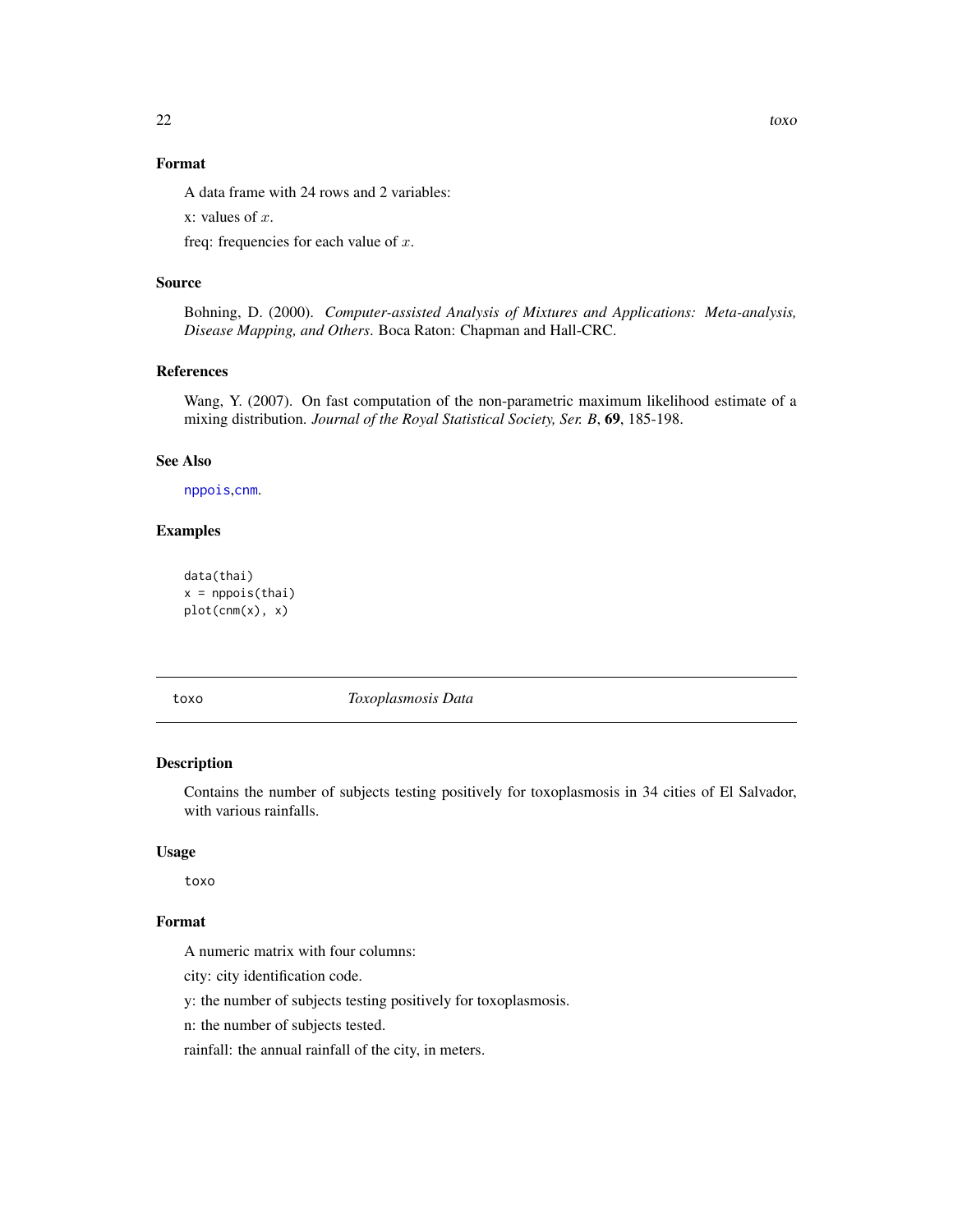# <span id="page-21-0"></span>Format

A data frame with 24 rows and 2 variables:

x: values of  $x$ .

freq: frequencies for each value of  $x$ .

#### Source

Bohning, D. (2000). *Computer-assisted Analysis of Mixtures and Applications: Meta-analysis, Disease Mapping, and Others*. Boca Raton: Chapman and Hall-CRC.

# References

Wang, Y. (2007). On fast computation of the non-parametric maximum likelihood estimate of a mixing distribution. *Journal of the Royal Statistical Society, Ser. B*, 69, 185-198.

# See Also

[nppois](#page-16-1),[cnm](#page-3-1).

# Examples

```
data(thai)
x = nppois(thai)
plot(cnm(x), x)
```
toxo *Toxoplasmosis Data*

#### Description

Contains the number of subjects testing positively for toxoplasmosis in 34 cities of El Salvador, with various rainfalls.

### Usage

toxo

# Format

A numeric matrix with four columns:

city: city identification code.

y: the number of subjects testing positively for toxoplasmosis.

n: the number of subjects tested.

rainfall: the annual rainfall of the city, in meters.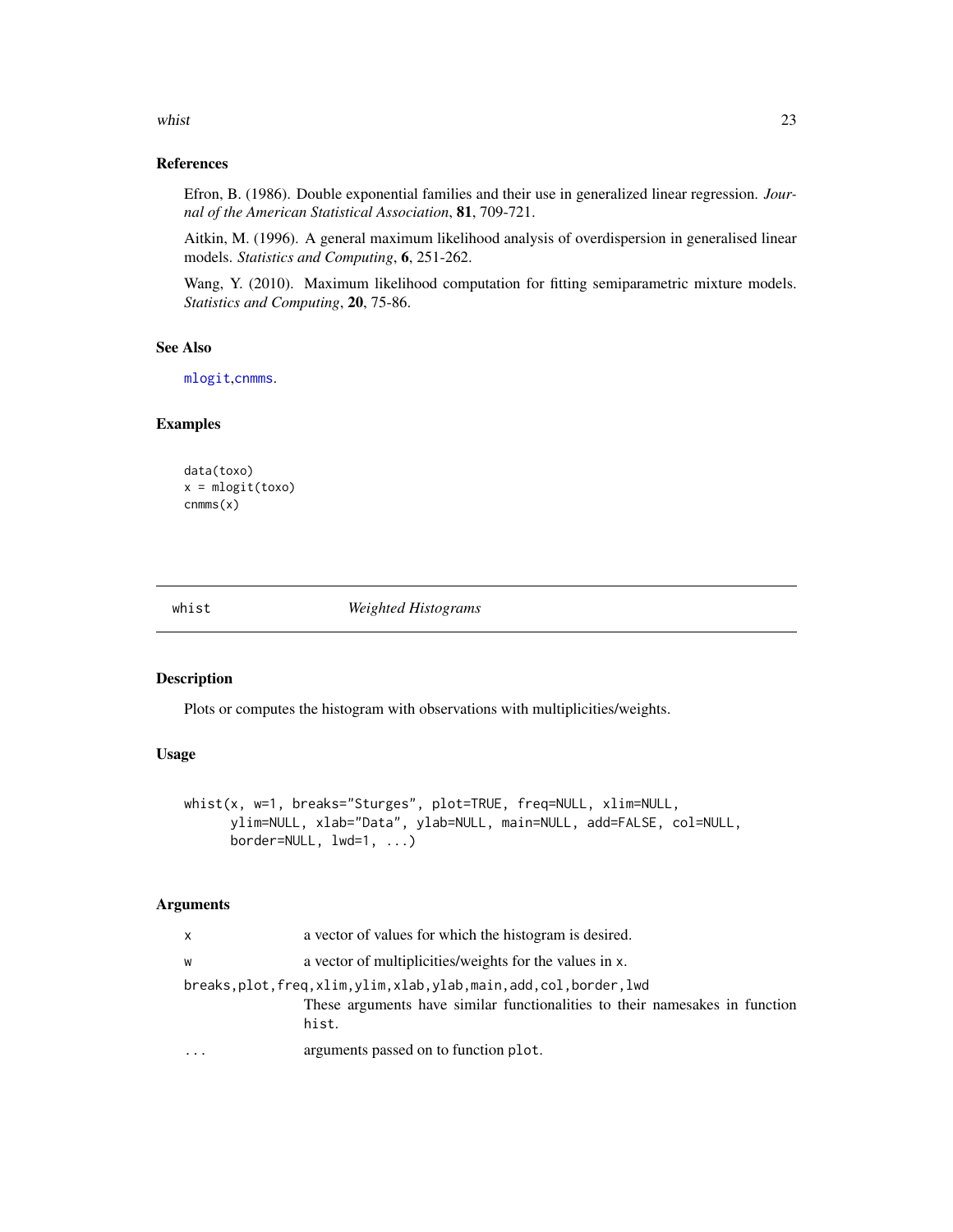#### <span id="page-22-0"></span>whist 23

# References

Efron, B. (1986). Double exponential families and their use in generalized linear regression. *Journal of the American Statistical Association*, 81, 709-721.

Aitkin, M. (1996). A general maximum likelihood analysis of overdispersion in generalised linear models. *Statistics and Computing*, 6, 251-262.

Wang, Y. (2010). Maximum likelihood computation for fitting semiparametric mixture models. *Statistics and Computing*, 20, 75-86.

#### See Also

[mlogit](#page-13-1),[cnmms](#page-6-1).

#### Examples

```
data(toxo)
x = mlogit(toxo)
cnmms(x)
```
whist *Weighted Histograms*

## Description

Plots or computes the histogram with observations with multiplicities/weights.

#### Usage

```
whist(x, w=1, breaks="Sturges", plot=TRUE, freq=NULL, xlim=NULL,
     ylim=NULL, xlab="Data", ylab=NULL, main=NULL, add=FALSE, col=NULL,
     border=NULL, lwd=1, ...)
```

| X | a vector of values for which the histogram is desired.                                                                                               |
|---|------------------------------------------------------------------------------------------------------------------------------------------------------|
| W | a vector of multiplicities/weights for the values in x.                                                                                              |
|   | breaks.plot.freq.xlim.ylim.xlab.ylab.main.add.col.border.lwd<br>These arguments have similar functionalities to their namesakes in function<br>hist. |
|   | arguments passed on to function plot.                                                                                                                |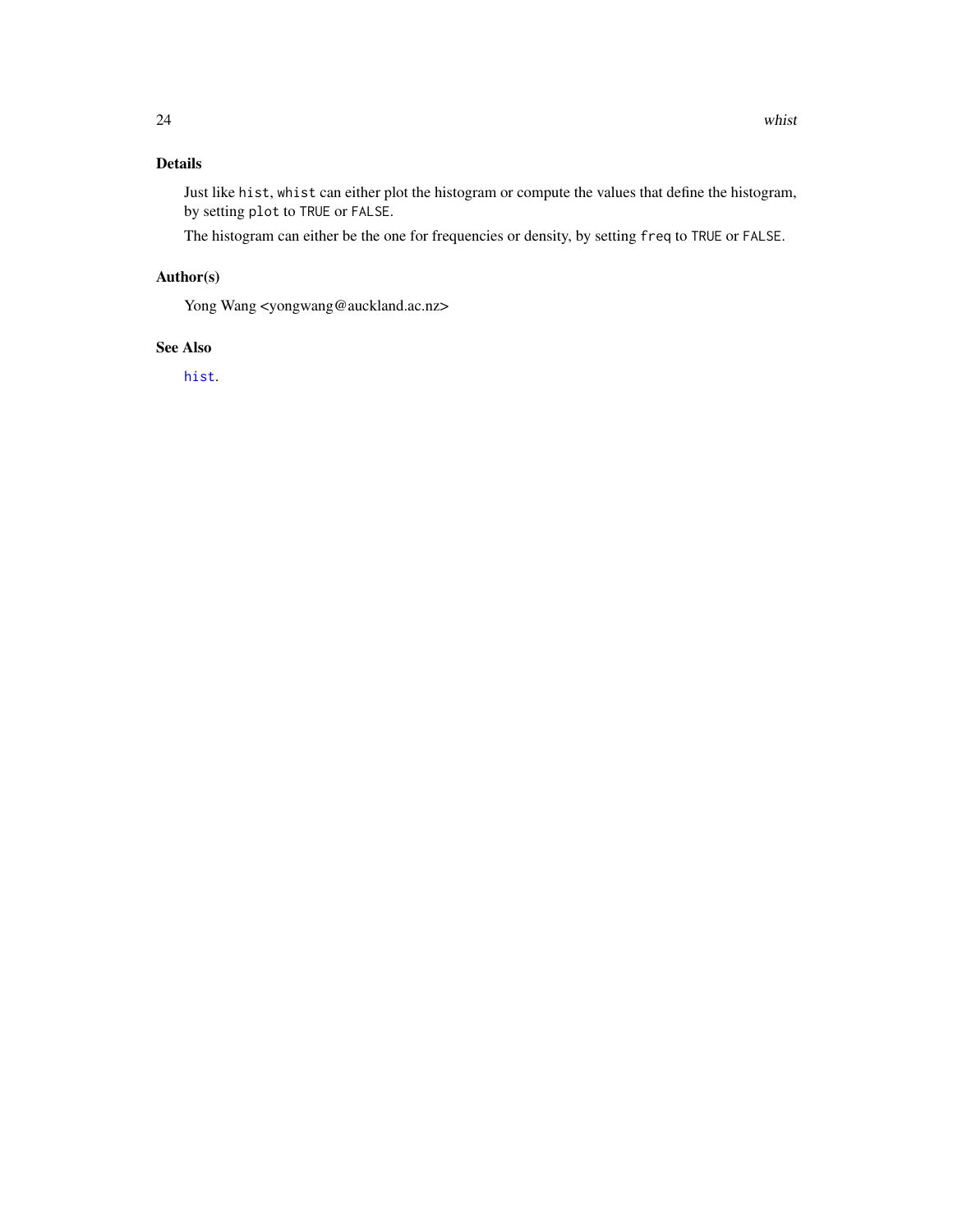# <span id="page-23-0"></span>Details

Just like hist, whist can either plot the histogram or compute the values that define the histogram, by setting plot to TRUE or FALSE.

The histogram can either be the one for frequencies or density, by setting freq to TRUE or FALSE.

# Author(s)

Yong Wang <yongwang@auckland.ac.nz>

# See Also

[hist](#page-0-0).